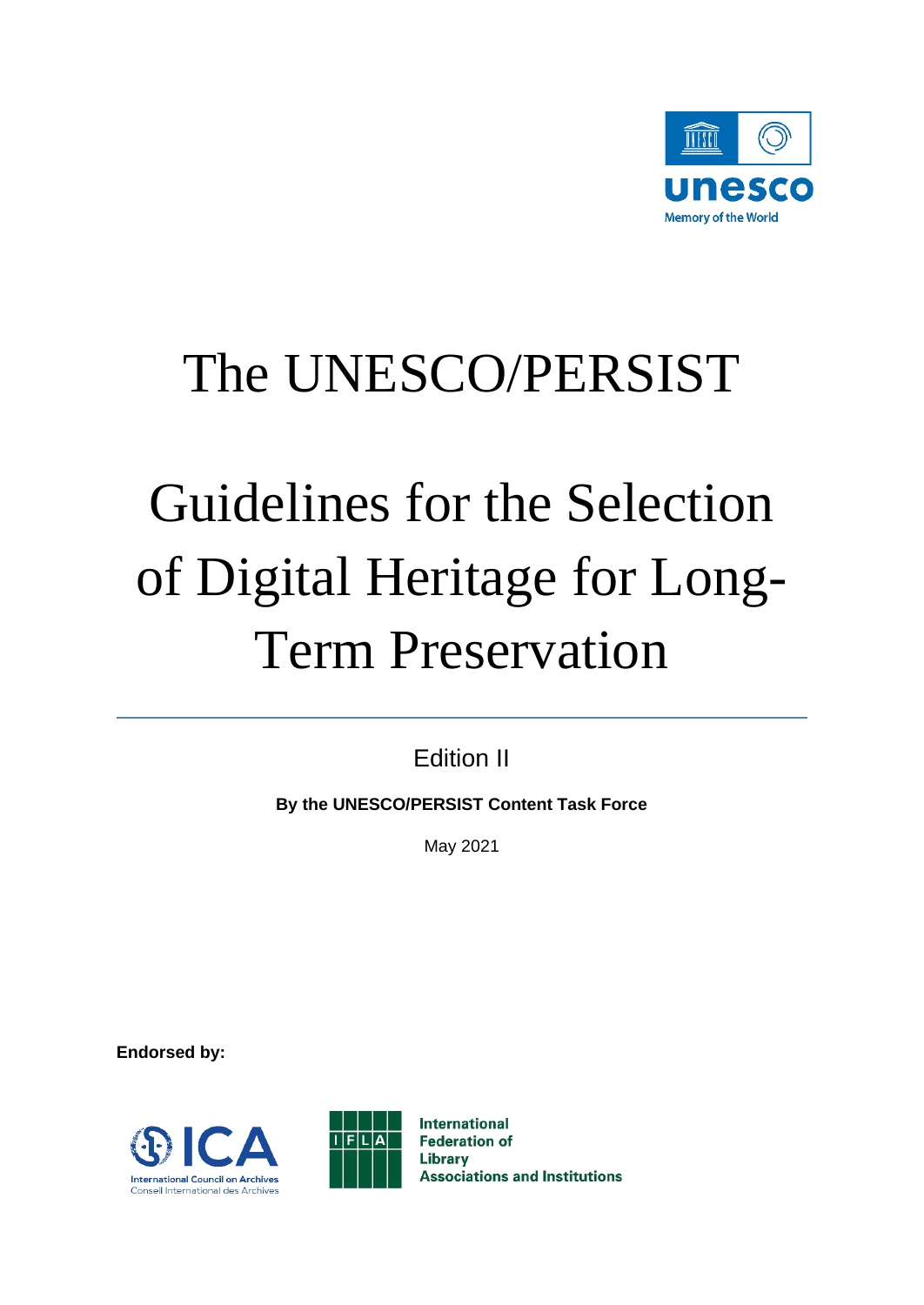

# The UNESCO/PERSIST

# Guidelines for the Selection of Digital Heritage for Long-Term Preservation

Edition II

**By the UNESCO/PERSIST Content Task Force** 

May 2021

**Endorsed by:** 





**International Federation of Library Associations and Institutions**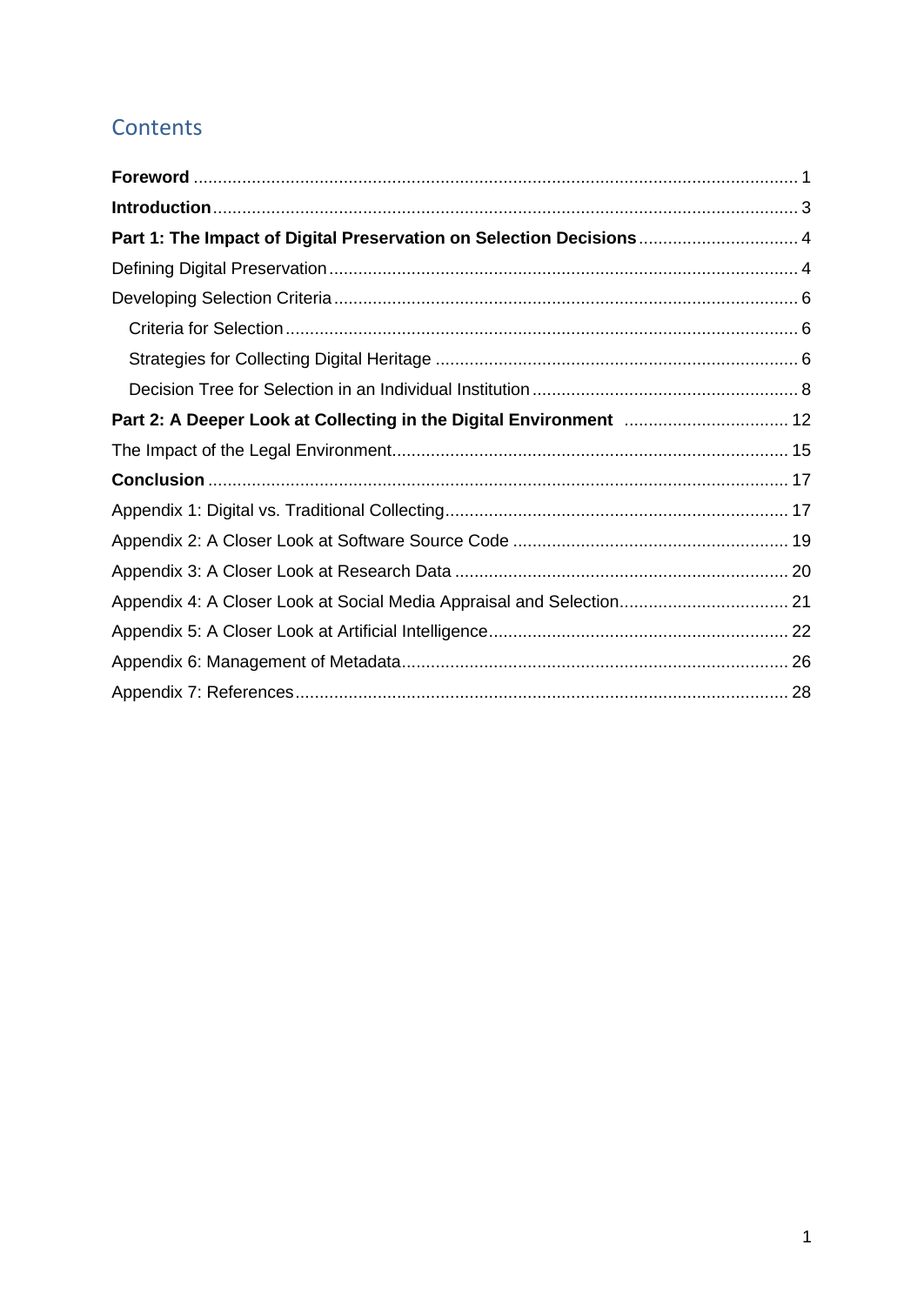## **Contents**

<span id="page-1-0"></span>

| Part 2: A Deeper Look at Collecting in the Digital Environment  12   |  |
|----------------------------------------------------------------------|--|
|                                                                      |  |
|                                                                      |  |
|                                                                      |  |
|                                                                      |  |
|                                                                      |  |
| Appendix 4: A Closer Look at Social Media Appraisal and Selection 21 |  |
|                                                                      |  |
|                                                                      |  |
|                                                                      |  |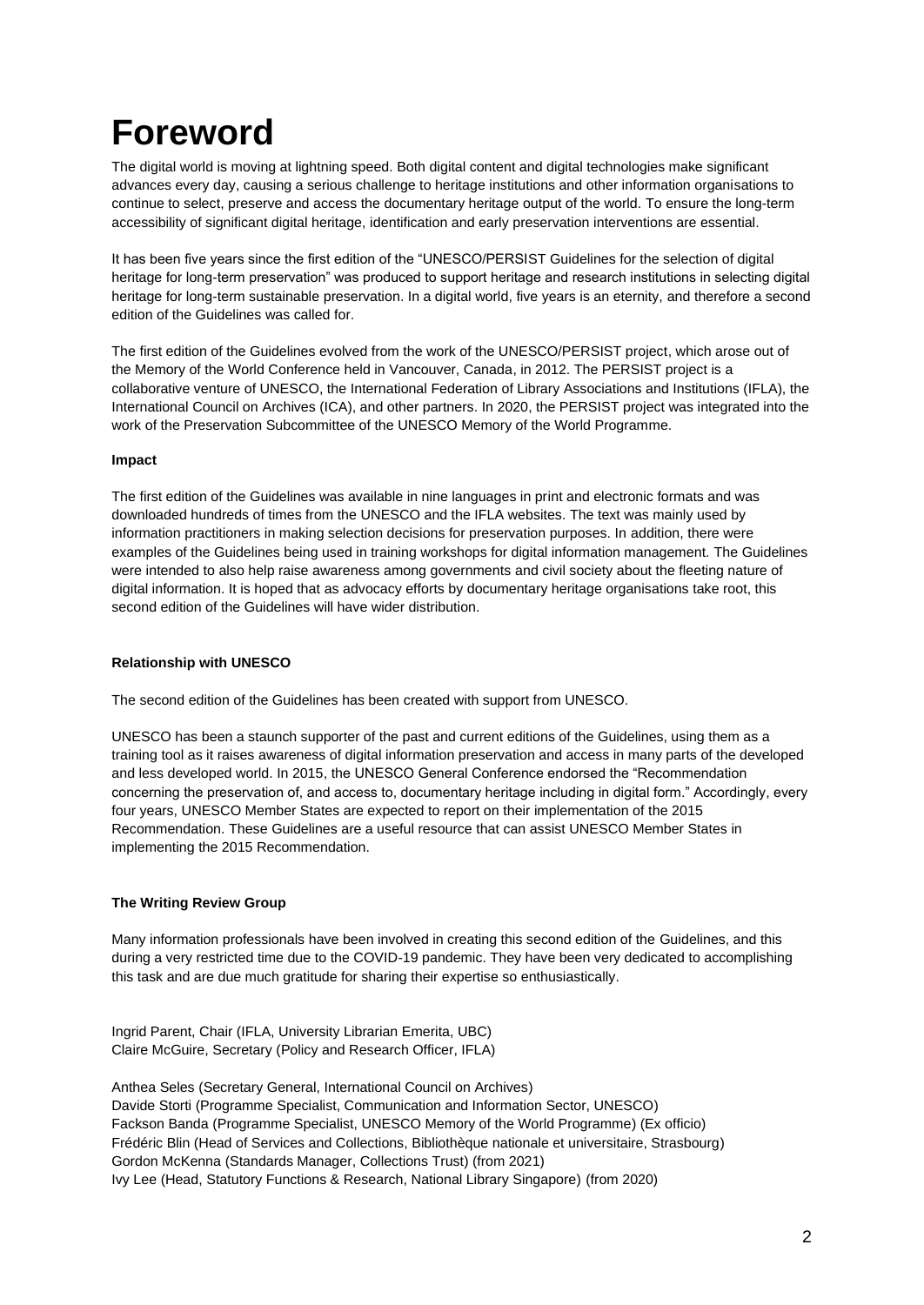## **Foreword**

The digital world is moving at lightning speed. Both digital content and digital technologies make significant advances every day, causing a serious challenge to heritage institutions and other information organisations to continue to select, preserve and access the documentary heritage output of the world. To ensure the long-term accessibility of significant digital heritage, identification and early preservation interventions are essential.

It has been five years since the first edition of the "UNESCO/PERSIST Guidelines for the selection of digital heritage for long-term preservation" was produced to support heritage and research institutions in selecting digital heritage for long-term sustainable preservation. In a digital world, five years is an eternity, and therefore a second edition of the Guidelines was called for.

The first edition of the Guidelines evolved from the work of the UNESCO/PERSIST project, which arose out of the Memory of the World Conference held in Vancouver, Canada, in 2012. The PERSIST project is a collaborative venture of UNESCO, the International Federation of Library Associations and Institutions (IFLA), the International Council on Archives (ICA), and other partners. In 2020, the PERSIST project was integrated into the work of the Preservation Subcommittee of the UNESCO Memory of the World Programme.

### **Impact**

The first edition of the Guidelines was available in nine languages in print and electronic formats and was downloaded hundreds of times from the UNESCO and the IFLA websites. The text was mainly used by information practitioners in making selection decisions for preservation purposes. In addition, there were examples of the Guidelines being used in training workshops for digital information management. The Guidelines were intended to also help raise awareness among governments and civil society about the fleeting nature of digital information. It is hoped that as advocacy efforts by documentary heritage organisations take root, this second edition of the Guidelines will have wider distribution.

### **Relationship with UNESCO**

The second edition of the Guidelines has been created with support from UNESCO.

UNESCO has been a staunch supporter of the past and current editions of the Guidelines, using them as a training tool as it raises awareness of digital information preservation and access in many parts of the developed and less developed world. In 2015, the UNESCO General Conference endorsed the "Recommendation concerning the preservation of, and access to, documentary heritage including in digital form." Accordingly, every four years, UNESCO Member States are expected to report on their implementation of the 2015 Recommendation. These Guidelines are a useful resource that can assist UNESCO Member States in implementing the 2015 Recommendation.

### **The Writing Review Group**

Many information professionals have been involved in creating this second edition of the Guidelines, and this during a very restricted time due to the COVID-19 pandemic. They have been very dedicated to accomplishing this task and are due much gratitude for sharing their expertise so enthusiastically.

Ingrid Parent, Chair (IFLA, University Librarian Emerita, UBC) Claire McGuire, Secretary (Policy and Research Officer, IFLA)

Anthea Seles (Secretary General, International Council on Archives) Davide Storti (Programme Specialist, Communication and Information Sector, UNESCO) Fackson Banda (Programme Specialist, UNESCO Memory of the World Programme) (Ex officio) Frédéric Blin (Head of Services and Collections, Bibliothèque nationale et universitaire, Strasbourg) Gordon McKenna (Standards Manager, Collections Trust) (from 2021) Ivy Lee (Head, Statutory Functions & Research, National Library Singapore) (from 2020)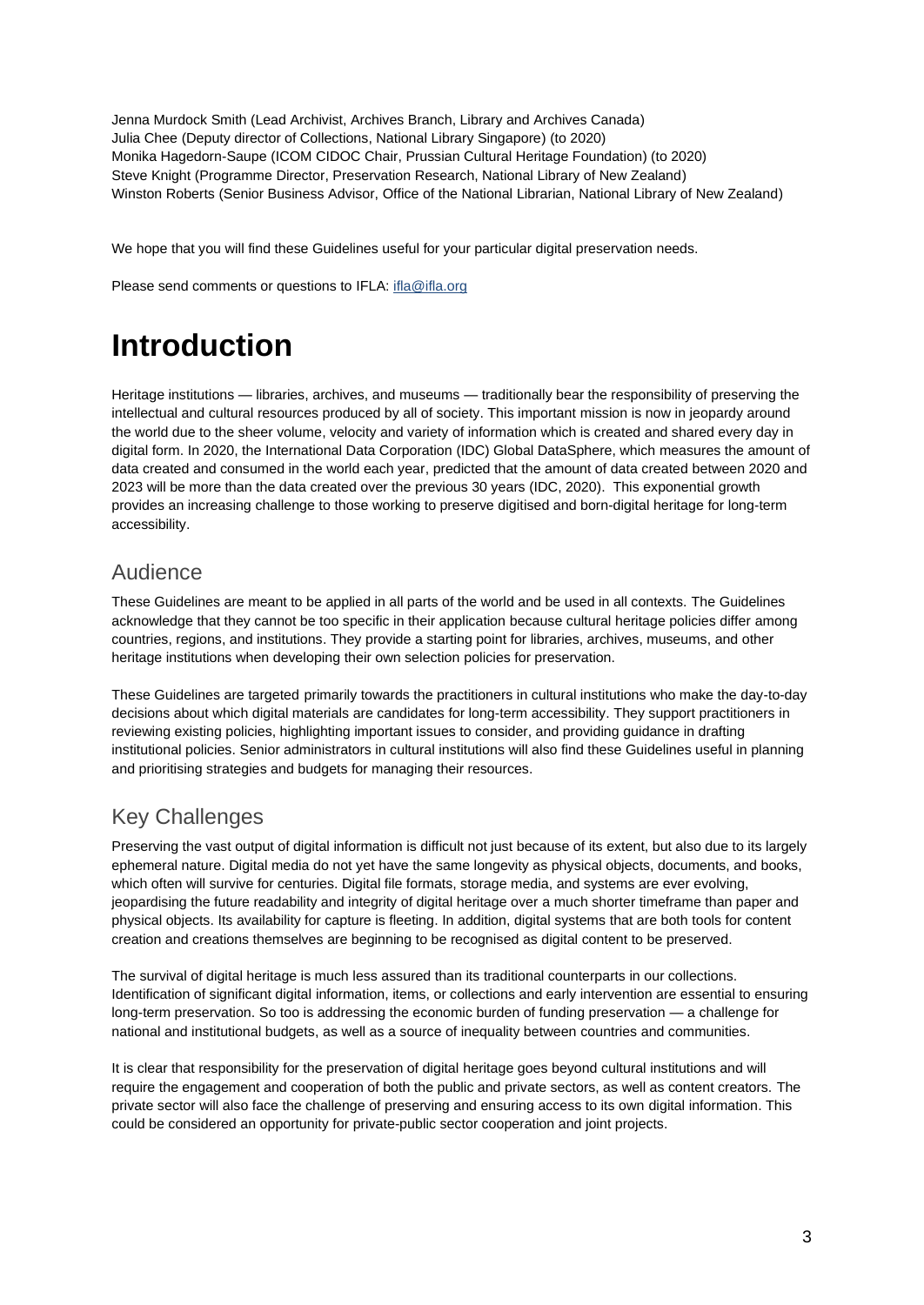Jenna Murdock Smith (Lead Archivist, Archives Branch, Library and Archives Canada) Julia Chee (Deputy director of Collections, National Library Singapore) (to 2020) Monika Hagedorn-Saupe (ICOM CIDOC Chair, Prussian Cultural Heritage Foundation) (to 2020) Steve Knight (Programme Director, Preservation Research, National Library of New Zealand) Winston Roberts (Senior Business Advisor, Office of the National Librarian, National Library of New Zealand)

We hope that you will find these Guidelines useful for your particular digital preservation needs.

<span id="page-3-0"></span>Please send comments or questions to IFLA[: ifla@ifla.org](mailto:ifla@ifla.org)

## **Introduction**

Heritage institutions — libraries, archives, and museums — traditionally bear the responsibility of preserving the intellectual and cultural resources produced by all of society. This important mission is now in jeopardy around the world due to the sheer volume, velocity and variety of information which is created and shared every day in digital form. In 2020, the International Data Corporation (IDC) Global DataSphere, which measures the amount of data created and consumed in the world each year, predicted that the amount of data created between 2020 and 2023 will be more than the data created over the previous 30 years (IDC, 2020). This exponential growth provides an increasing challenge to those working to preserve digitised and born-digital heritage for long-term accessibility.

### Audience

These Guidelines are meant to be applied in all parts of the world and be used in all contexts. The Guidelines acknowledge that they cannot be too specific in their application because cultural heritage policies differ among countries, regions, and institutions. They provide a starting point for libraries, archives, museums, and other heritage institutions when developing their own selection policies for preservation.

These Guidelines are targeted primarily towards the practitioners in cultural institutions who make the day-to-day decisions about which digital materials are candidates for long-term accessibility. They support practitioners in reviewing existing policies, highlighting important issues to consider, and providing guidance in drafting institutional policies. Senior administrators in cultural institutions will also find these Guidelines useful in planning and prioritising strategies and budgets for managing their resources.

## Key Challenges

Preserving the vast output of digital information is difficult not just because of its extent, but also due to its largely ephemeral nature. Digital media do not yet have the same longevity as physical objects, documents, and books, which often will survive for centuries. Digital file formats, storage media, and systems are ever evolving, jeopardising the future readability and integrity of digital heritage over a much shorter timeframe than paper and physical objects. Its availability for capture is fleeting. In addition, digital systems that are both tools for content creation and creations themselves are beginning to be recognised as digital content to be preserved.

The survival of digital heritage is much less assured than its traditional counterparts in our collections. Identification of significant digital information, items, or collections and early intervention are essential to ensuring long-term preservation. So too is addressing the economic burden of funding preservation — a challenge for national and institutional budgets, as well as a source of inequality between countries and communities.

It is clear that responsibility for the preservation of digital heritage goes beyond cultural institutions and will require the engagement and cooperation of both the public and private sectors, as well as content creators. The private sector will also face the challenge of preserving and ensuring access to its own digital information. This could be considered an opportunity for private-public sector cooperation and joint projects.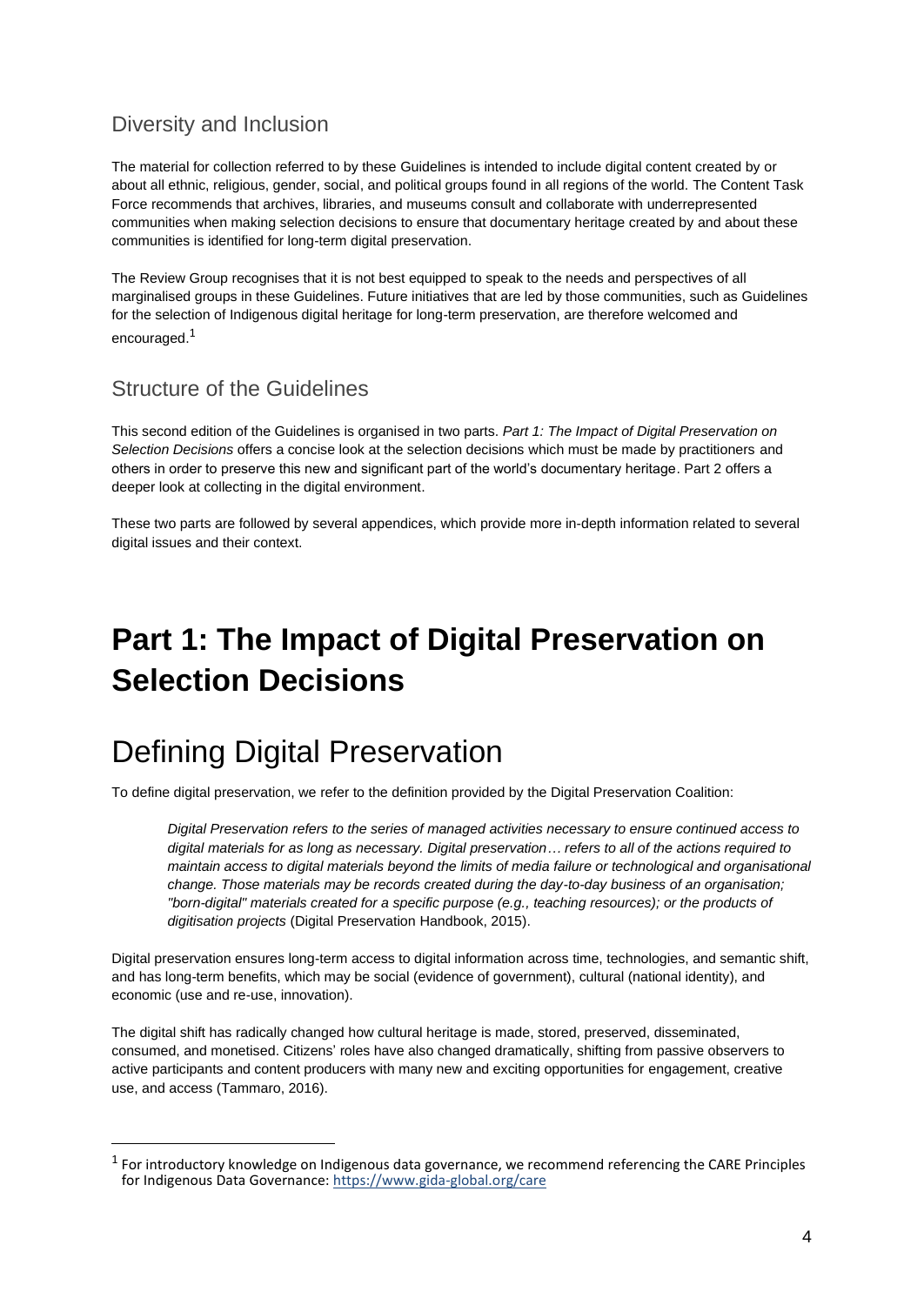### Diversity and Inclusion

The material for collection referred to by these Guidelines is intended to include digital content created by or about all ethnic, religious, gender, social, and political groups found in all regions of the world. The Content Task Force recommends that archives, libraries, and museums consult and collaborate with underrepresented communities when making selection decisions to ensure that documentary heritage created by and about these communities is identified for long-term digital preservation.

The Review Group recognises that it is not best equipped to speak to the needs and perspectives of all marginalised groups in these Guidelines. Future initiatives that are led by those communities, such as Guidelines for the selection of Indigenous digital heritage for long-term preservation, are therefore welcomed and encouraged.<sup>1</sup>

### Structure of the Guidelines

This second edition of the Guidelines is organised in two parts. *Part 1: The Impact of Digital Preservation on Selection Decisions* offers a concise look at the selection decisions which must be made by practitioners and others in order to preserve this new and significant part of the world's documentary heritage. Part 2 offers a deeper look at collecting in the digital environment.

These two parts are followed by several appendices, which provide more in-depth information related to several digital issues and their context.

## <span id="page-4-0"></span>**Part 1: The Impact of Digital Preservation on Selection Decisions**

## <span id="page-4-1"></span>Defining Digital Preservation

To define digital preservation, we refer to the definition provided by the Digital Preservation Coalition:

*Digital Preservation refers to the series of managed activities necessary to ensure continued access to digital materials for as long as necessary. Digital preservation… refers to all of the actions required to maintain access to digital materials beyond the limits of media failure or technological and organisational change. Those materials may be records created during the day-to-day business of an organisation; "born-digital" materials created for a specific purpose (e.g., teaching resources); or the products of digitisation projects* (Digital Preservation Handbook, 2015).

Digital preservation ensures long-term access to digital information across time, technologies, and semantic shift, and has long-term benefits, which may be social (evidence of government), cultural (national identity), and economic (use and re-use, innovation).

The digital shift has radically changed how cultural heritage is made, stored, preserved, disseminated, consumed, and monetised. Citizens' roles have also changed dramatically, shifting from passive observers to active participants and content producers with many new and exciting opportunities for engagement, creative use, and access (Tammaro, 2016).

 $<sup>1</sup>$  For introductory knowledge on Indigenous data governance, we recommend referencing the CARE Principles</sup> for Indigenous Data Governance:<https://www.gida-global.org/care>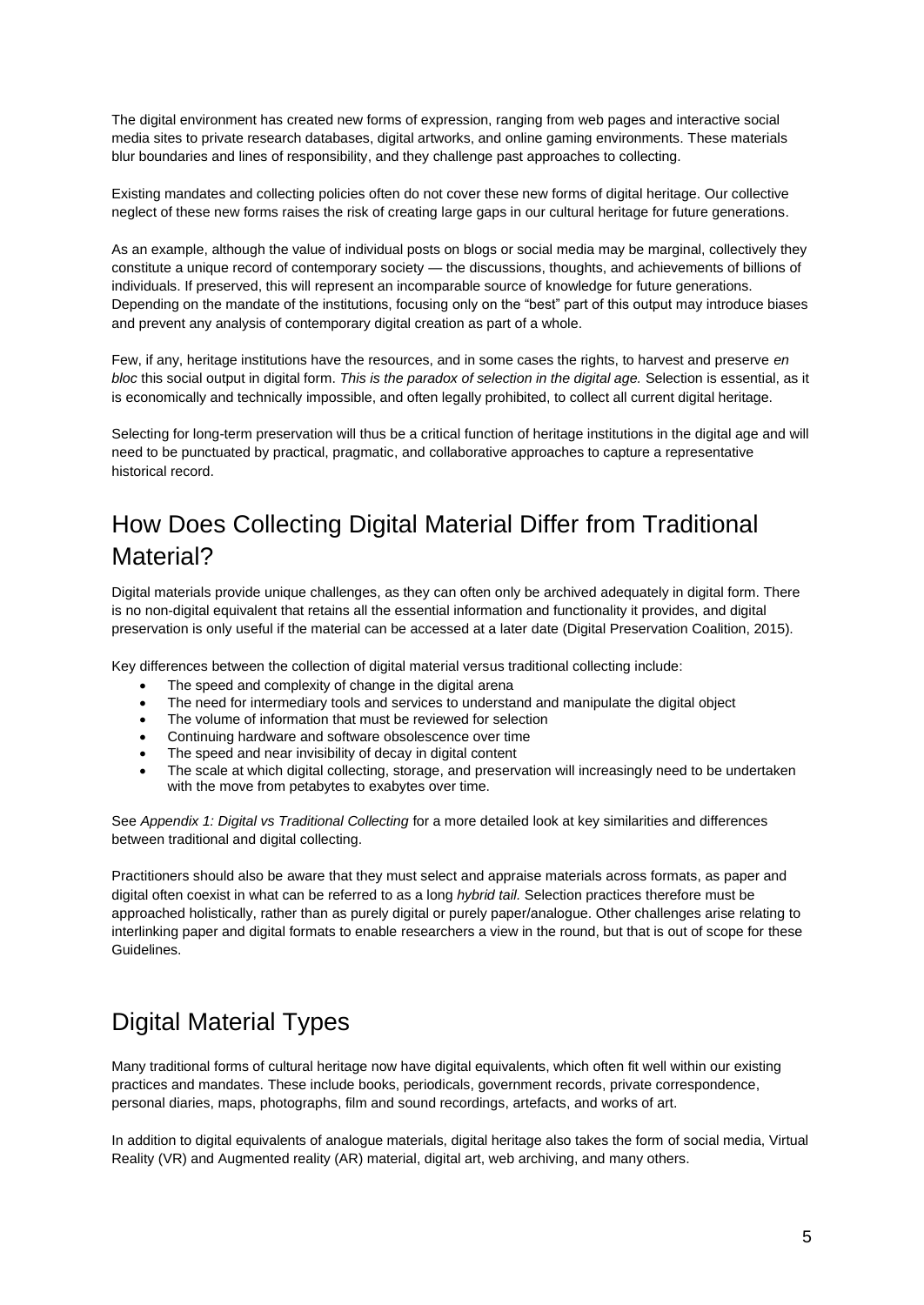The digital environment has created new forms of expression, ranging from web pages and interactive social media sites to private research databases, digital artworks, and online gaming environments. These materials blur boundaries and lines of responsibility, and they challenge past approaches to collecting.

Existing mandates and collecting policies often do not cover these new forms of digital heritage. Our collective neglect of these new forms raises the risk of creating large gaps in our cultural heritage for future generations.

As an example, although the value of individual posts on blogs or social media may be marginal, collectively they constitute a unique record of contemporary society — the discussions, thoughts, and achievements of billions of individuals. If preserved, this will represent an incomparable source of knowledge for future generations. Depending on the mandate of the institutions, focusing only on the "best" part of this output may introduce biases and prevent any analysis of contemporary digital creation as part of a whole.

Few, if any, heritage institutions have the resources, and in some cases the rights, to harvest and preserve *en bloc* this social output in digital form. *This is the paradox of selection in the digital age.* Selection is essential, as it is economically and technically impossible, and often legally prohibited, to collect all current digital heritage.

Selecting for long-term preservation will thus be a critical function of heritage institutions in the digital age and will need to be punctuated by practical, pragmatic, and collaborative approaches to capture a representative historical record.

## How Does Collecting Digital Material Differ from Traditional Material?

Digital materials provide unique challenges, as they can often only be archived adequately in digital form. There is no non-digital equivalent that retains all the essential information and functionality it provides, and digital preservation is only useful if the material can be accessed at a later date (Digital Preservation Coalition, 2015).

Key differences between the collection of digital material versus traditional collecting include:

- The speed and complexity of change in the digital arena
- The need for intermediary tools and services to understand and manipulate the digital object
- The volume of information that must be reviewed for selection
- Continuing hardware and software obsolescence over time
- The speed and near invisibility of decay in digital content
- The scale at which digital collecting, storage, and preservation will increasingly need to be undertaken with the move from petabytes to exabytes over time.

See *Appendix 1: Digital vs Traditional Collecting* for a more detailed look at key similarities and differences between traditional and digital collecting.

Practitioners should also be aware that they must select and appraise materials across formats, as paper and digital often coexist in what can be referred to as a long *hybrid tail.* Selection practices therefore must be approached holistically, rather than as purely digital or purely paper/analogue. Other challenges arise relating to interlinking paper and digital formats to enable researchers a view in the round, but that is out of scope for these Guidelines.

## Digital Material Types

Many traditional forms of cultural heritage now have digital equivalents, which often fit well within our existing practices and mandates. These include books, periodicals, government records, private correspondence, personal diaries, maps, photographs, film and sound recordings, artefacts, and works of art.

In addition to digital equivalents of analogue materials, digital heritage also takes the form of social media, Virtual Reality (VR) and Augmented reality (AR) material, digital art, web archiving, and many others.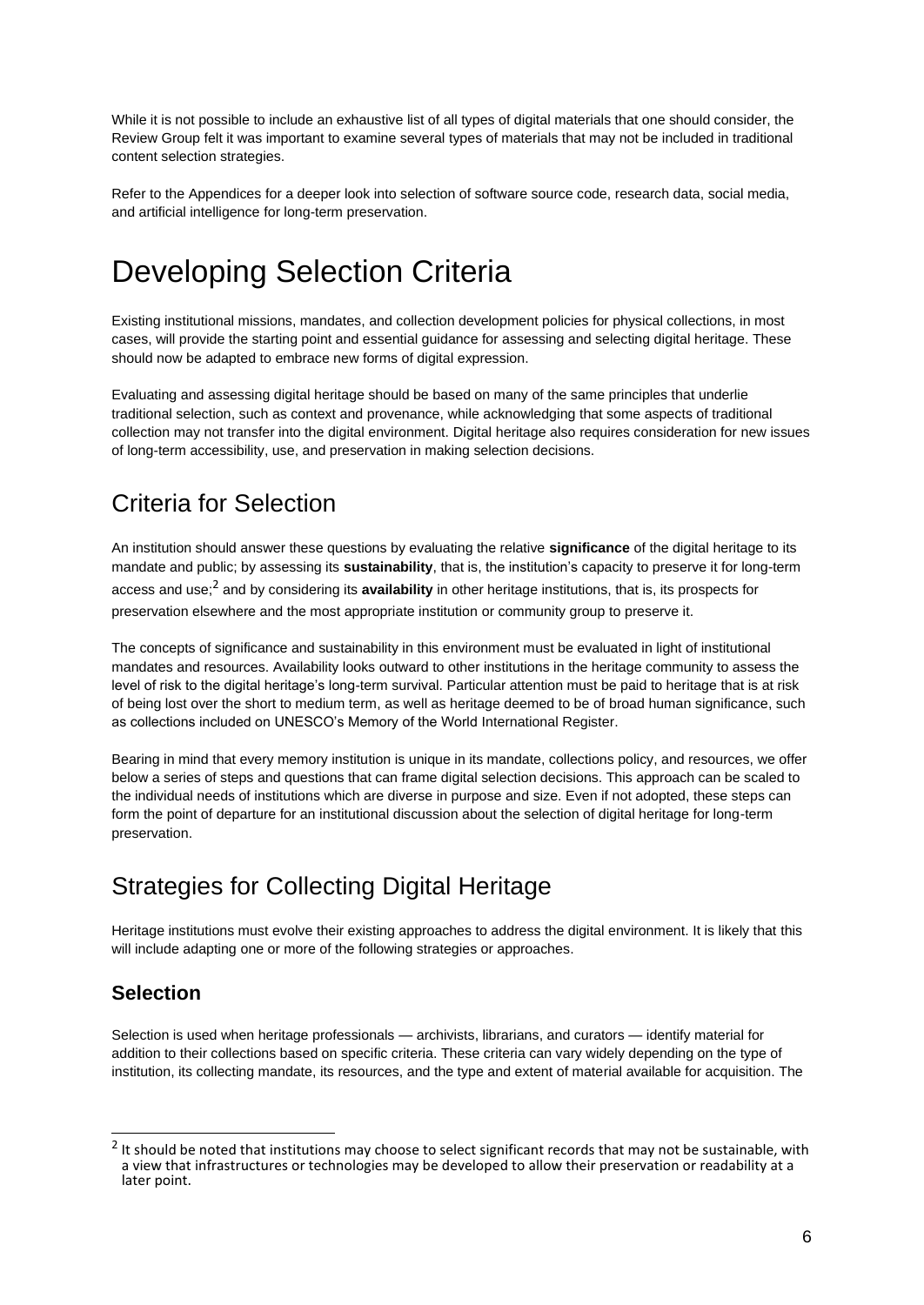While it is not possible to include an exhaustive list of all types of digital materials that one should consider, the Review Group felt it was important to examine several types of materials that may not be included in traditional content selection strategies.

Refer to the Appendices for a deeper look into selection of software source code, research data, social media, and artificial intelligence for long-term preservation.

## <span id="page-6-0"></span>Developing Selection Criteria

Existing institutional missions, mandates, and collection development policies for physical collections, in most cases, will provide the starting point and essential guidance for assessing and selecting digital heritage. These should now be adapted to embrace new forms of digital expression.

Evaluating and assessing digital heritage should be based on many of the same principles that underlie traditional selection, such as context and provenance, while acknowledging that some aspects of traditional collection may not transfer into the digital environment. Digital heritage also requires consideration for new issues of long-term accessibility, use, and preservation in making selection decisions.

## <span id="page-6-1"></span>Criteria for Selection

An institution should answer these questions by evaluating the relative **significance** of the digital heritage to its mandate and public; by assessing its **sustainability**, that is, the institution's capacity to preserve it for long-term access and use;<sup>2</sup> and by considering its **availability** in other heritage institutions, that is, its prospects for preservation elsewhere and the most appropriate institution or community group to preserve it.

The concepts of significance and sustainability in this environment must be evaluated in light of institutional mandates and resources. Availability looks outward to other institutions in the heritage community to assess the level of risk to the digital heritage's long-term survival. Particular attention must be paid to heritage that is at risk of being lost over the short to medium term, as well as heritage deemed to be of broad human significance, such as collections included on UNESCO's Memory of the World International Register.

Bearing in mind that every memory institution is unique in its mandate, collections policy, and resources, we offer below a series of steps and questions that can frame digital selection decisions. This approach can be scaled to the individual needs of institutions which are diverse in purpose and size. Even if not adopted, these steps can form the point of departure for an institutional discussion about the selection of digital heritage for long-term preservation.

## <span id="page-6-2"></span>Strategies for Collecting Digital Heritage

Heritage institutions must evolve their existing approaches to address the digital environment. It is likely that this will include adapting one or more of the following strategies or approaches.

### **Selection**

Selection is used when heritage professionals — archivists, librarians, and curators — identify material for addition to their collections based on specific criteria. These criteria can vary widely depending on the type of institution, its collecting mandate, its resources, and the type and extent of material available for acquisition. The

 $2$  It should be noted that institutions may choose to select significant records that may not be sustainable, with a view that infrastructures or technologies may be developed to allow their preservation or readability at a later point.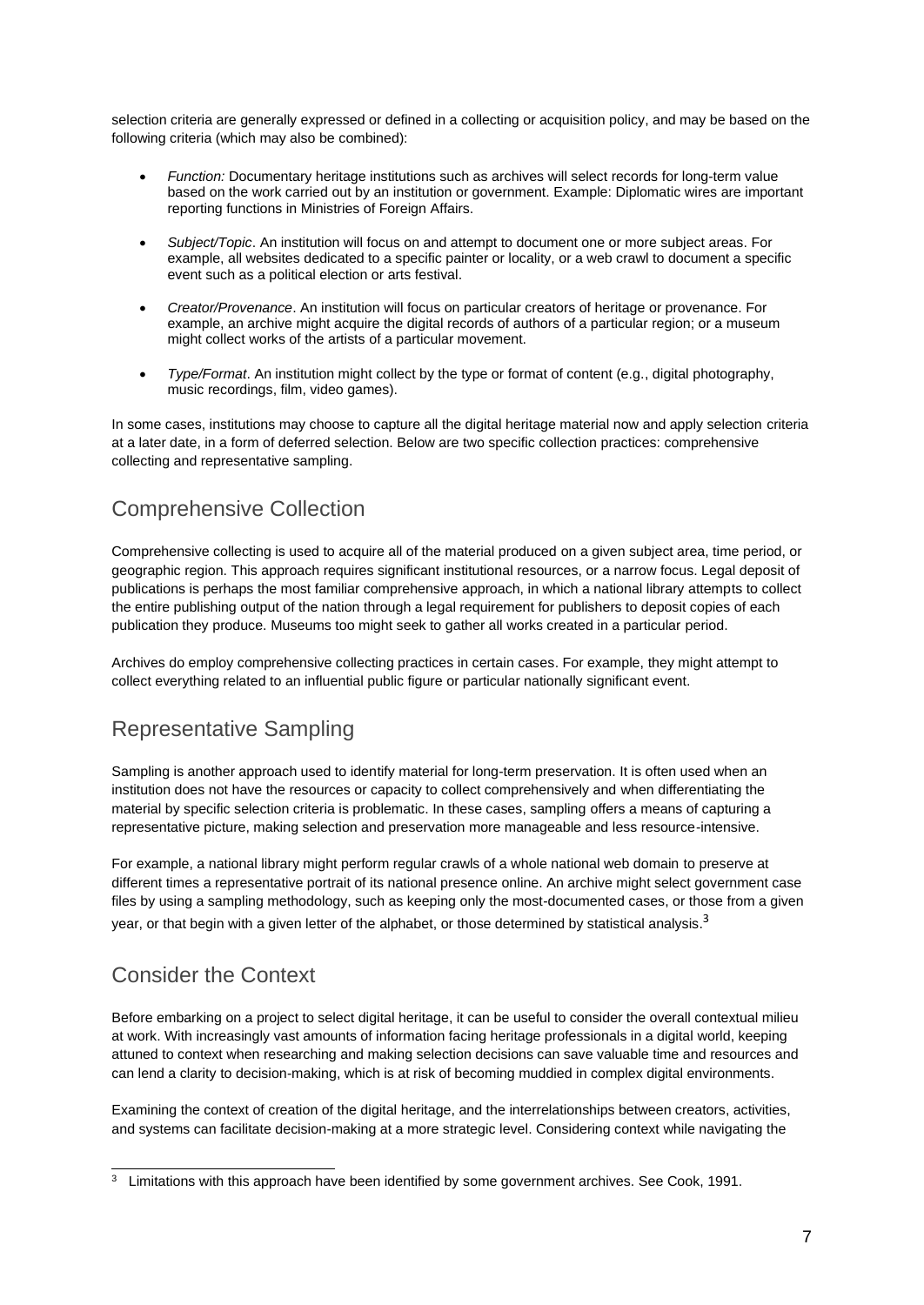selection criteria are generally expressed or defined in a collecting or acquisition policy, and may be based on the following criteria (which may also be combined):

- *Function:* Documentary heritage institutions such as archives will select records for long-term value based on the work carried out by an institution or government. Example: Diplomatic wires are important reporting functions in Ministries of Foreign Affairs.
- *Subject/Topic*. An institution will focus on and attempt to document one or more subject areas. For example, all websites dedicated to a specific painter or locality, or a web crawl to document a specific event such as a political election or arts festival.
- *Creator/Provenance*. An institution will focus on particular creators of heritage or provenance. For example, an archive might acquire the digital records of authors of a particular region; or a museum might collect works of the artists of a particular movement.
- *Type/Format*. An institution might collect by the type or format of content (e.g., digital photography, music recordings, film, video games).

In some cases, institutions may choose to capture all the digital heritage material now and apply selection criteria at a later date, in a form of deferred selection. Below are two specific collection practices: comprehensive collecting and representative sampling.

### Comprehensive Collection

Comprehensive collecting is used to acquire all of the material produced on a given subject area, time period, or geographic region. This approach requires significant institutional resources, or a narrow focus. Legal deposit of publications is perhaps the most familiar comprehensive approach, in which a national library attempts to collect the entire publishing output of the nation through a legal requirement for publishers to deposit copies of each publication they produce. Museums too might seek to gather all works created in a particular period.

Archives do employ comprehensive collecting practices in certain cases. For example, they might attempt to collect everything related to an influential public figure or particular nationally significant event.

### Representative Sampling

Sampling is another approach used to identify material for long-term preservation. It is often used when an institution does not have the resources or capacity to collect comprehensively and when differentiating the material by specific selection criteria is problematic. In these cases, sampling offers a means of capturing a representative picture, making selection and preservation more manageable and less resource-intensive.

For example, a national library might perform regular crawls of a whole national web domain to preserve at different times a representative portrait of its national presence online. An archive might select government case files by using a sampling methodology, such as keeping only the most-documented cases, or those from a given year, or that begin with a given letter of the alphabet, or those determined by statistical analysis.<sup>3</sup>

## Consider the Context

Before embarking on a project to select digital heritage, it can be useful to consider the overall contextual milieu at work. With increasingly vast amounts of information facing heritage professionals in a digital world, keeping attuned to context when researching and making selection decisions can save valuable time and resources and can lend a clarity to decision-making, which is at risk of becoming muddied in complex digital environments.

Examining the context of creation of the digital heritage, and the interrelationships between creators, activities, and systems can facilitate decision-making at a more strategic level. Considering context while navigating the

<sup>&</sup>lt;sup>3</sup> Limitations with this approach have been identified by some government archives. See Cook, 1991.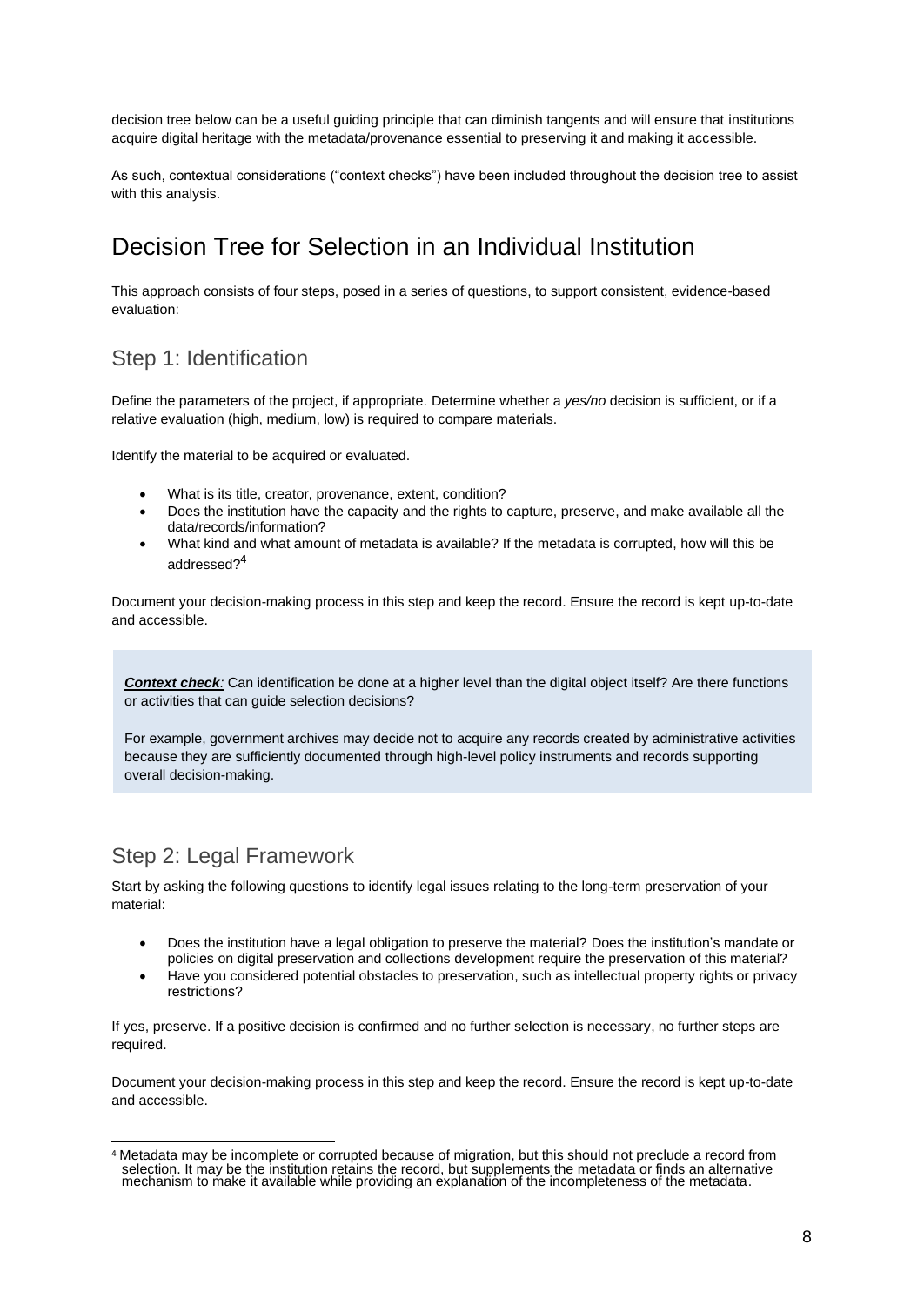decision tree below can be a useful guiding principle that can diminish tangents and will ensure that institutions acquire digital heritage with the metadata/provenance essential to preserving it and making it accessible.

As such, contextual considerations ("context checks") have been included throughout the decision tree to assist with this analysis.

## <span id="page-8-0"></span>Decision Tree for Selection in an Individual Institution

This approach consists of four steps, posed in a series of questions, to support consistent, evidence-based evaluation:

### Step 1: Identification

Define the parameters of the project, if appropriate. Determine whether a *yes/no* decision is sufficient, or if a relative evaluation (high, medium, low) is required to compare materials.

Identify the material to be acquired or evaluated.

- What is its title, creator, provenance, extent, condition?
- Does the institution have the capacity and the rights to capture, preserve, and make available all the data/records/information?
- What kind and what amount of metadata is available? If the metadata is corrupted, how will this be addressed? 4

Document your decision-making process in this step and keep the record. Ensure the record is kept up-to-date and accessible.

*Context check:* Can identification be done at a higher level than the digital object itself? Are there functions or activities that can guide selection decisions?

For example, government archives may decide not to acquire any records created by administrative activities because they are sufficiently documented through high-level policy instruments and records supporting overall decision-making.

### Step 2: Legal Framework

Start by asking the following questions to identify legal issues relating to the long-term preservation of your material:

- Does the institution have a legal obligation to preserve the material? Does the institution's mandate or policies on digital preservation and collections development require the preservation of this material?
- Have you considered potential obstacles to preservation, such as intellectual property rights or privacy restrictions?

If yes, preserve. If a positive decision is confirmed and no further selection is necessary, no further steps are required.

Document your decision-making process in this step and keep the record. Ensure the record is kept up-to-date and accessible.

<sup>4</sup> Metadata may be incomplete or corrupted because of migration, but this should not preclude a record from selection. It may be the institution retains the record, but supplements the metadata or finds an alternative mechanism to make it available while providing an explanation of the incompleteness of the metadata.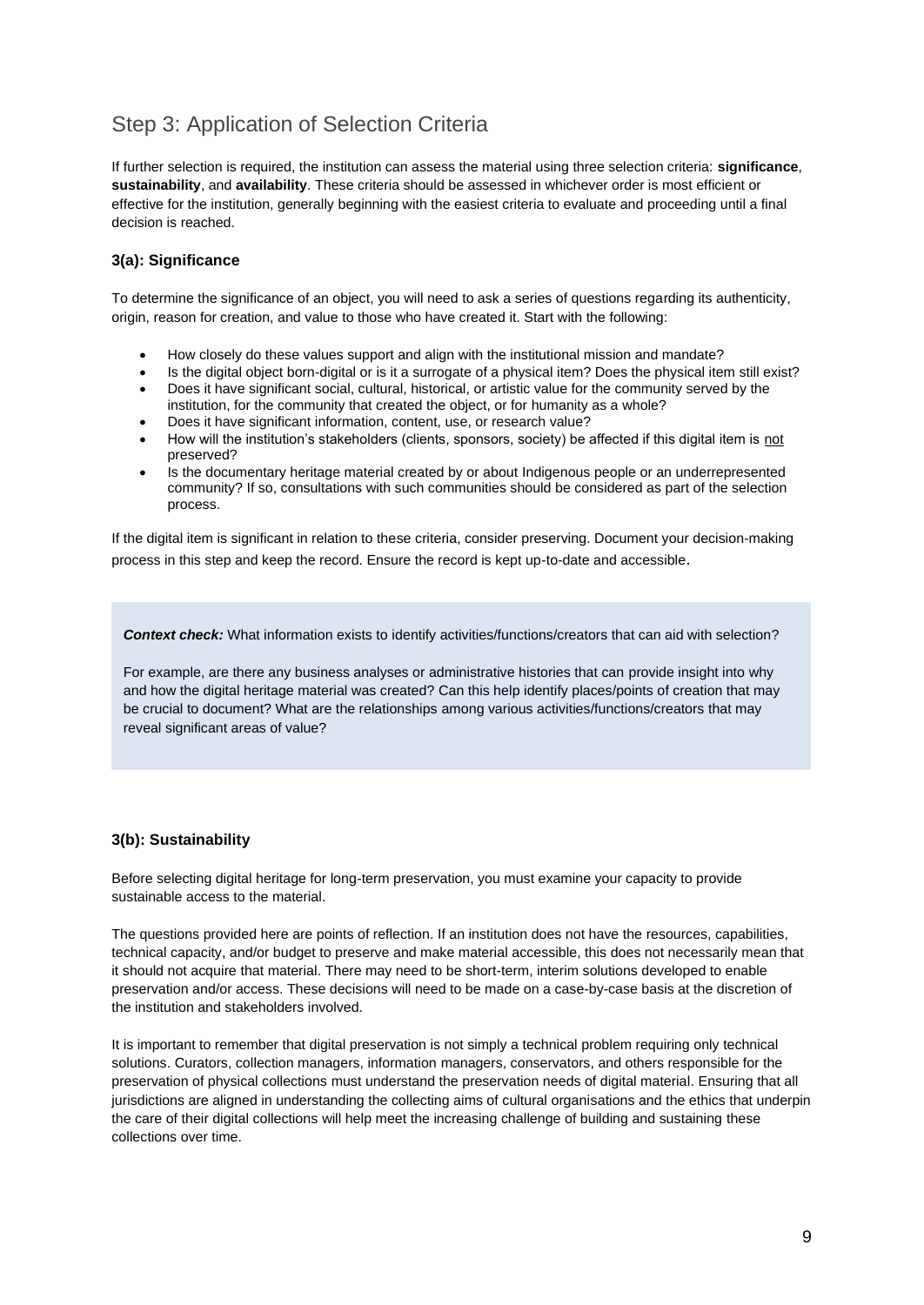## Step 3: Application of Selection Criteria

If further selection is required, the institution can assess the material using three selection criteria: **significance**, **sustainability**, and **availability**. These criteria should be assessed in whichever order is most efficient or effective for the institution, generally beginning with the easiest criteria to evaluate and proceeding until a final decision is reached.

### **3(a): Significance**

To determine the significance of an object, you will need to ask a series of questions regarding its authenticity, origin, reason for creation, and value to those who have created it. Start with the following:

- How closely do these values support and align with the institutional mission and mandate?
- Is the digital object born-digital or is it a surrogate of a physical item? Does the physical item still exist?
- Does it have significant social, cultural, historical, or artistic value for the community served by the institution, for the community that created the object, or for humanity as a whole?
- Does it have significant information, content, use, or research value?
- How will the institution's stakeholders (clients, sponsors, society) be affected if this digital item is not preserved?
- Is the documentary heritage material created by or about Indigenous people or an underrepresented community? If so, consultations with such communities should be considered as part of the selection process.

If the digital item is significant in relation to these criteria, consider preserving. Document your decision-making process in this step and keep the record. Ensure the record is kept up-to-date and accessible.

*Context check:* What information exists to identify activities/functions/creators that can aid with selection?

For example, are there any business analyses or administrative histories that can provide insight into why and how the digital heritage material was created? Can this help identify places/points of creation that may be crucial to document? What are the relationships among various activities/functions/creators that may reveal significant areas of value?

### **3(b): Sustainability**

Before selecting digital heritage for long-term preservation, you must examine your capacity to provide sustainable access to the material.

The questions provided here are points of reflection. If an institution does not have the resources, capabilities, technical capacity, and/or budget to preserve and make material accessible, this does not necessarily mean that it should not acquire that material. There may need to be short-term, interim solutions developed to enable preservation and/or access. These decisions will need to be made on a case-by-case basis at the discretion of the institution and stakeholders involved.

It is important to remember that digital preservation is not simply a technical problem requiring only technical solutions. Curators, collection managers, information managers, conservators, and others responsible for the preservation of physical collections must understand the preservation needs of digital material. Ensuring that all jurisdictions are aligned in understanding the collecting aims of cultural organisations and the ethics that underpin the care of their digital collections will help meet the increasing challenge of building and sustaining these collections over time.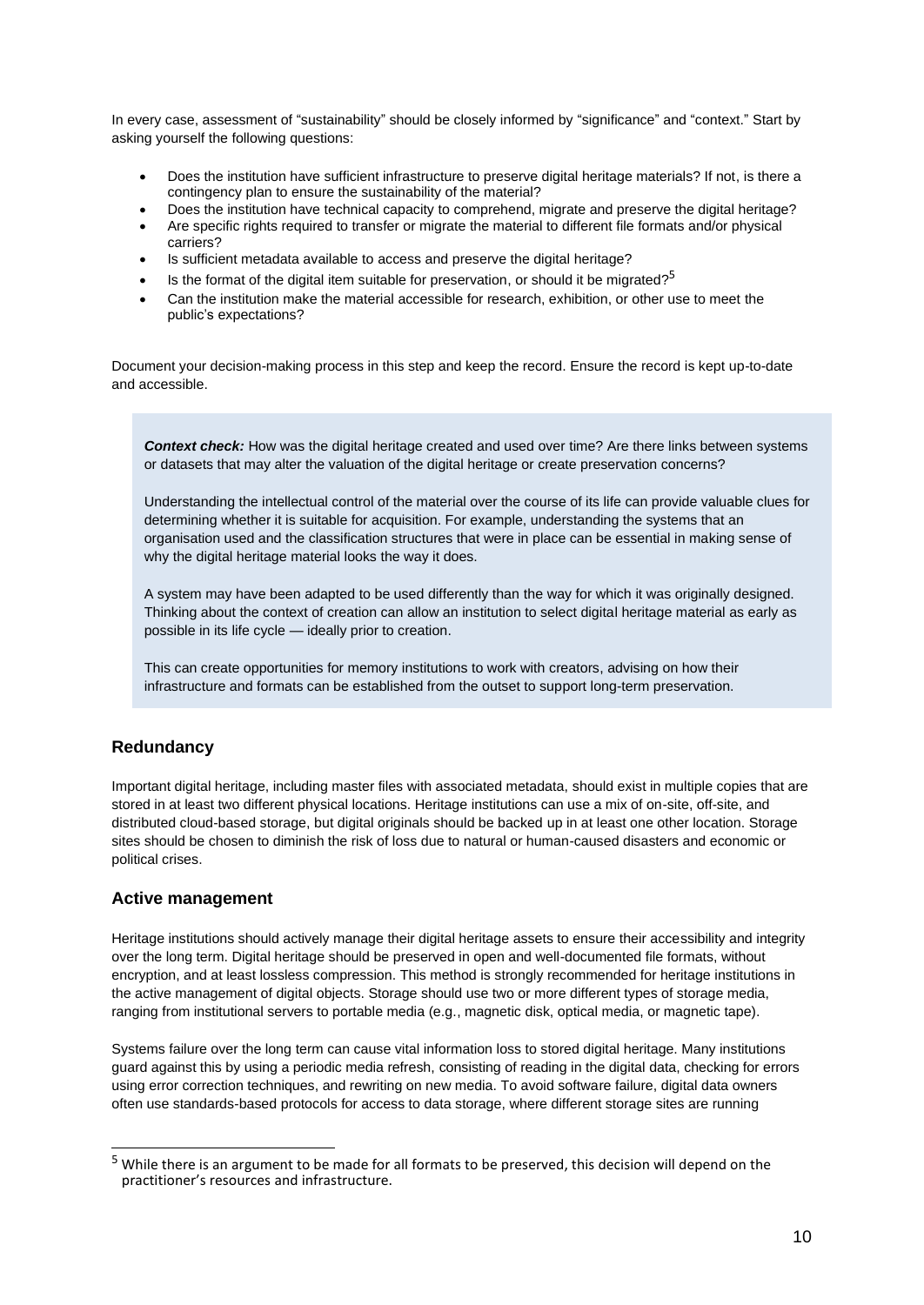In every case, assessment of "sustainability" should be closely informed by "significance" and "context." Start by asking yourself the following questions:

- Does the institution have sufficient infrastructure to preserve digital heritage materials? If not, is there a contingency plan to ensure the sustainability of the material?
- Does the institution have technical capacity to comprehend, migrate and preserve the digital heritage?
- Are specific rights required to transfer or migrate the material to different file formats and/or physical carriers?
- Is sufficient metadata available to access and preserve the digital heritage?
- $\bullet$  Is the format of the digital item suitable for preservation, or should it be migrated?<sup>5</sup>
- Can the institution make the material accessible for research, exhibition, or other use to meet the public's expectations?

Document your decision-making process in this step and keep the record. Ensure the record is kept up-to-date and accessible.

*Context check:* How was the digital heritage created and used over time? Are there links between systems or datasets that may alter the valuation of the digital heritage or create preservation concerns?

Understanding the intellectual control of the material over the course of its life can provide valuable clues for determining whether it is suitable for acquisition. For example, understanding the systems that an organisation used and the classification structures that were in place can be essential in making sense of why the digital heritage material looks the way it does.

A system may have been adapted to be used differently than the way for which it was originally designed. Thinking about the context of creation can allow an institution to select digital heritage material as early as possible in its life cycle — ideally prior to creation.

This can create opportunities for memory institutions to work with creators, advising on how their infrastructure and formats can be established from the outset to support long-term preservation.

### **Redundancy**

Important digital heritage, including master files with associated metadata, should exist in multiple copies that are stored in at least two different physical locations. Heritage institutions can use a mix of on-site, off-site, and distributed cloud-based storage, but digital originals should be backed up in at least one other location. Storage sites should be chosen to diminish the risk of loss due to natural or human-caused disasters and economic or political crises.

### **Active management**

Heritage institutions should actively manage their digital heritage assets to ensure their accessibility and integrity over the long term. Digital heritage should be preserved in open and well-documented file formats, without encryption, and at least lossless compression. This method is strongly recommended for heritage institutions in the active management of digital objects. Storage should use two or more different types of storage media, ranging from institutional servers to portable media (e.g., magnetic disk, optical media, or magnetic tape).

Systems failure over the long term can cause vital information loss to stored digital heritage. Many institutions guard against this by using a periodic media refresh, consisting of reading in the digital data, checking for errors using error correction techniques, and rewriting on new media. To avoid software failure, digital data owners often use standards-based protocols for access to data storage, where different storage sites are running

<sup>5</sup> While there is an argument to be made for all formats to be preserved, this decision will depend on the practitioner's resources and infrastructure.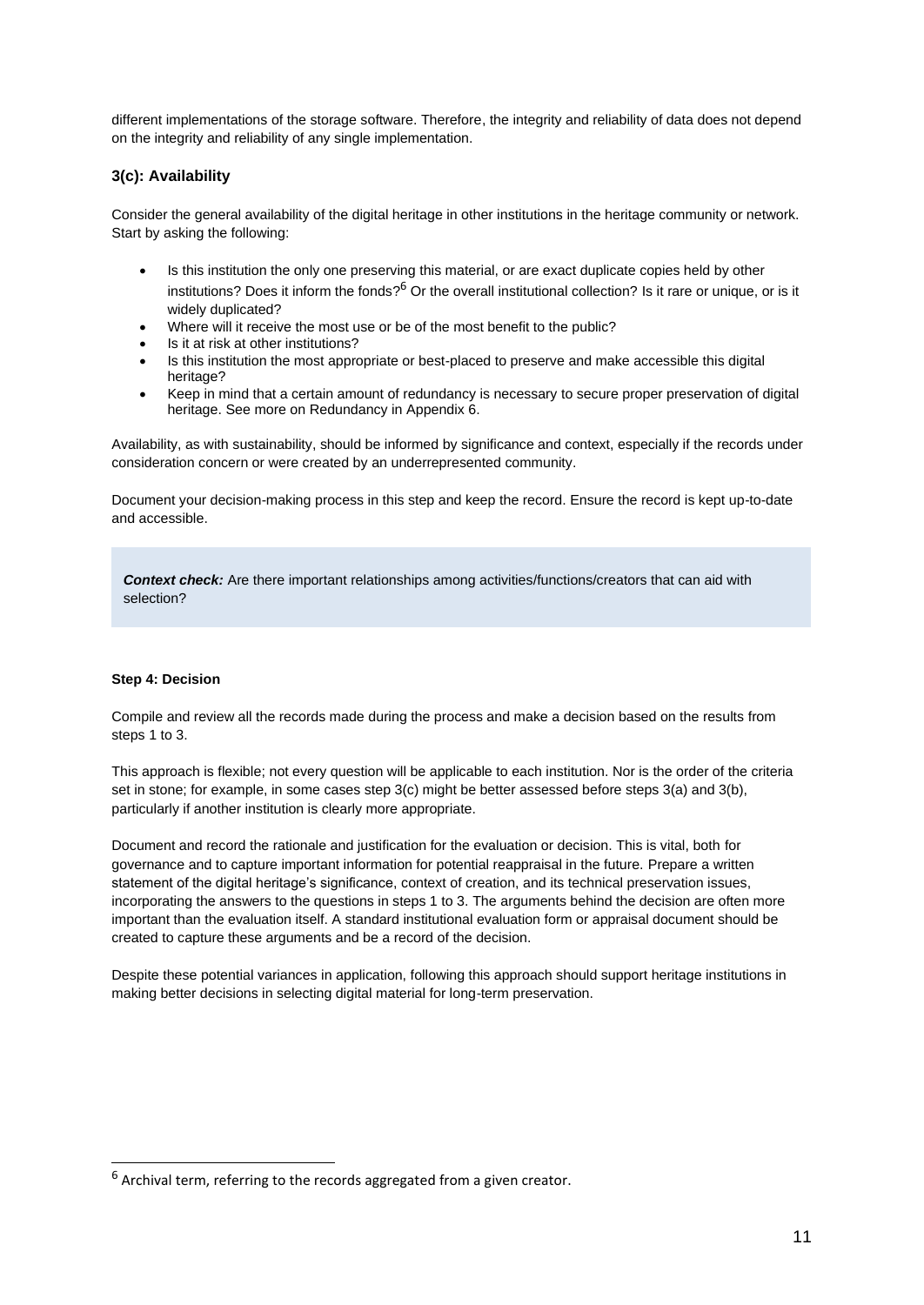different implementations of the storage software. Therefore, the integrity and reliability of data does not depend on the integrity and reliability of any single implementation.

### **3(c): Availability**

Consider the general availability of the digital heritage in other institutions in the heritage community or network. Start by asking the following:

- Is this institution the only one preserving this material, or are exact duplicate copies held by other institutions? Does it inform the fonds?<sup>6</sup> Or the overall institutional collection? Is it rare or unique, or is it widely duplicated?
- Where will it receive the most use or be of the most benefit to the public?
- Is it at risk at other institutions?
- Is this institution the most appropriate or best-placed to preserve and make accessible this digital heritage?
- Keep in mind that a certain amount of redundancy is necessary to secure proper preservation of digital heritage. See more on Redundancy in Appendix 6.

Availability, as with sustainability, should be informed by significance and context, especially if the records under consideration concern or were created by an underrepresented community.

Document your decision-making process in this step and keep the record. Ensure the record is kept up-to-date and accessible.

*Context check:* Are there important relationships among activities/functions/creators that can aid with selection?

#### **Step 4: Decision**

Compile and review all the records made during the process and make a decision based on the results from steps 1 to 3.

This approach is flexible; not every question will be applicable to each institution. Nor is the order of the criteria set in stone; for example, in some cases step 3(c) might be better assessed before steps 3(a) and 3(b), particularly if another institution is clearly more appropriate.

Document and record the rationale and justification for the evaluation or decision. This is vital, both for governance and to capture important information for potential reappraisal in the future. Prepare a written statement of the digital heritage's significance, context of creation, and its technical preservation issues, incorporating the answers to the questions in steps 1 to 3. The arguments behind the decision are often more important than the evaluation itself. A standard institutional evaluation form or appraisal document should be created to capture these arguments and be a record of the decision.

Despite these potential variances in application, following this approach should support heritage institutions in making better decisions in selecting digital material for long-term preservation.

 $6$  Archival term, referring to the records aggregated from a given creator.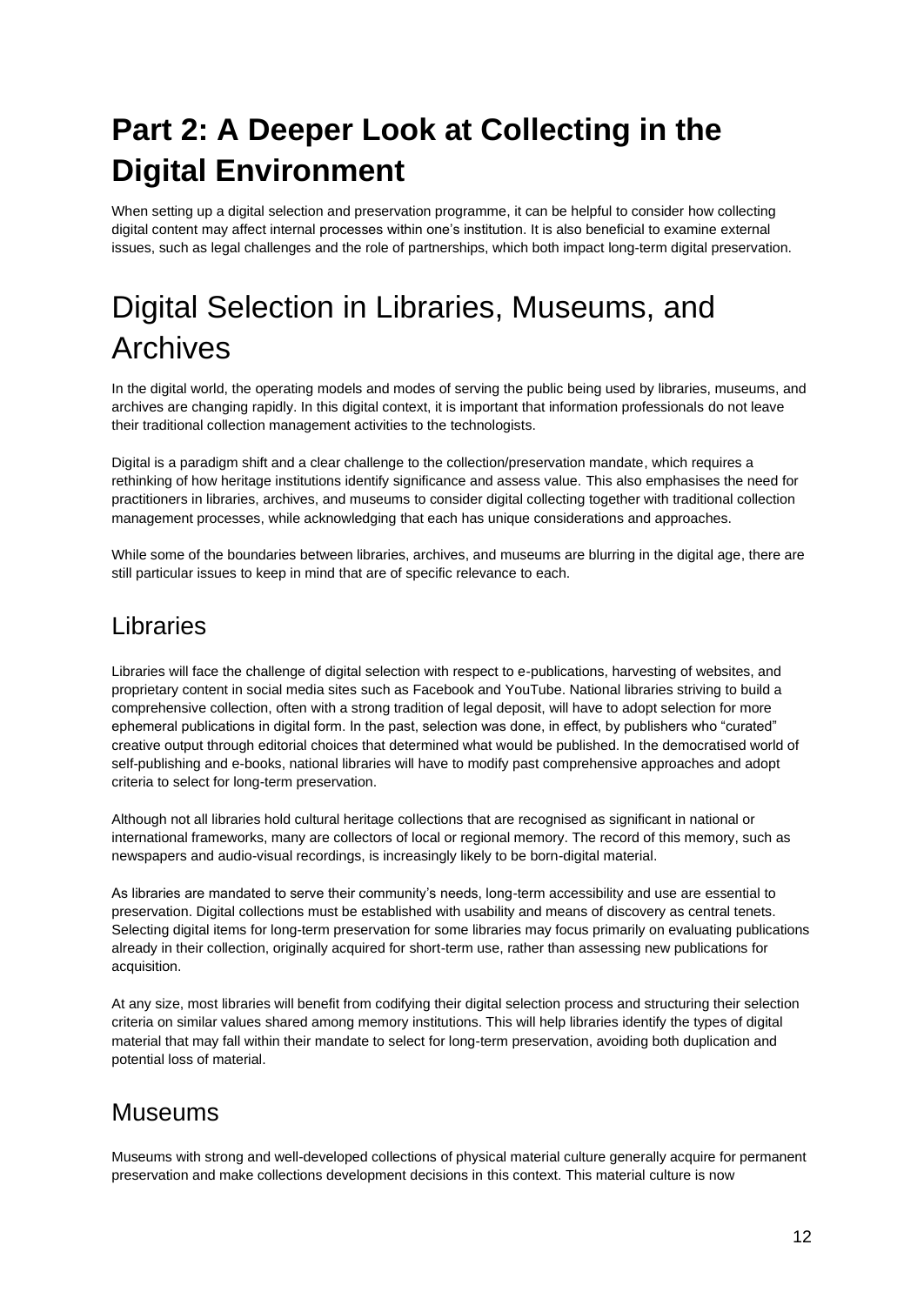## <span id="page-12-0"></span>**Part 2: A Deeper Look at Collecting in the Digital Environment**

When setting up a digital selection and preservation programme, it can be helpful to consider how collecting digital content may affect internal processes within one's institution. It is also beneficial to examine external issues, such as legal challenges and the role of partnerships, which both impact long-term digital preservation.

## Digital Selection in Libraries, Museums, and **Archives**

In the digital world, the operating models and modes of serving the public being used by libraries, museums, and archives are changing rapidly. In this digital context, it is important that information professionals do not leave their traditional collection management activities to the technologists.

Digital is a paradigm shift and a clear challenge to the collection/preservation mandate, which requires a rethinking of how heritage institutions identify significance and assess value. This also emphasises the need for practitioners in libraries, archives, and museums to consider digital collecting together with traditional collection management processes, while acknowledging that each has unique considerations and approaches.

While some of the boundaries between libraries, archives, and museums are blurring in the digital age, there are still particular issues to keep in mind that are of specific relevance to each.

## Libraries

Libraries will face the challenge of digital selection with respect to e-publications, harvesting of websites, and proprietary content in social media sites such as Facebook and YouTube. National libraries striving to build a comprehensive collection, often with a strong tradition of legal deposit, will have to adopt selection for more ephemeral publications in digital form. In the past, selection was done, in effect, by publishers who "curated" creative output through editorial choices that determined what would be published. In the democratised world of self-publishing and e-books, national libraries will have to modify past comprehensive approaches and adopt criteria to select for long-term preservation.

Although not all libraries hold cultural heritage collections that are recognised as significant in national or international frameworks, many are collectors of local or regional memory. The record of this memory, such as newspapers and audio-visual recordings, is increasingly likely to be born-digital material.

As libraries are mandated to serve their community's needs, long-term accessibility and use are essential to preservation. Digital collections must be established with usability and means of discovery as central tenets. Selecting digital items for long-term preservation for some libraries may focus primarily on evaluating publications already in their collection, originally acquired for short-term use, rather than assessing new publications for acquisition.

At any size, most libraries will benefit from codifying their digital selection process and structuring their selection criteria on similar values shared among memory institutions. This will help libraries identify the types of digital material that may fall within their mandate to select for long-term preservation, avoiding both duplication and potential loss of material.

## Museums

Museums with strong and well-developed collections of physical material culture generally acquire for permanent preservation and make collections development decisions in this context. This material culture is now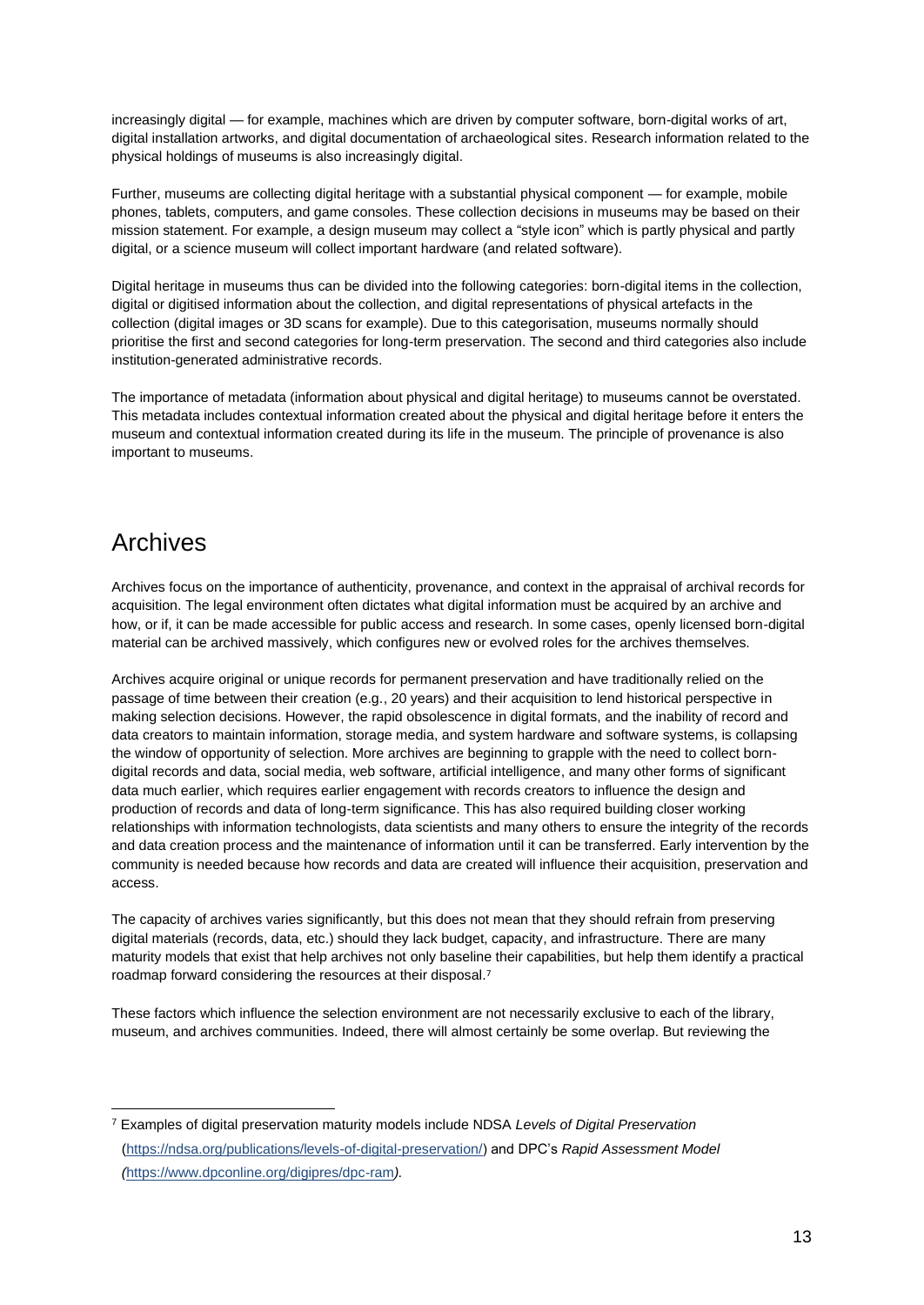increasingly digital — for example, machines which are driven by computer software, born-digital works of art, digital installation artworks, and digital documentation of archaeological sites. Research information related to the physical holdings of museums is also increasingly digital.

Further, museums are collecting digital heritage with a substantial physical component — for example, mobile phones, tablets, computers, and game consoles. These collection decisions in museums may be based on their mission statement. For example, a design museum may collect a "style icon" which is partly physical and partly digital, or a science museum will collect important hardware (and related software).

Digital heritage in museums thus can be divided into the following categories: born-digital items in the collection, digital or digitised information about the collection, and digital representations of physical artefacts in the collection (digital images or 3D scans for example). Due to this categorisation, museums normally should prioritise the first and second categories for long-term preservation. The second and third categories also include institution-generated administrative records.

The importance of metadata (information about physical and digital heritage) to museums cannot be overstated. This metadata includes contextual information created about the physical and digital heritage before it enters the museum and contextual information created during its life in the museum. The principle of provenance is also important to museums.

## Archives

Archives focus on the importance of authenticity, provenance, and context in the appraisal of archival records for acquisition. The legal environment often dictates what digital information must be acquired by an archive and how, or if, it can be made accessible for public access and research. In some cases, openly licensed born-digital material can be archived massively, which configures new or evolved roles for the archives themselves.

Archives acquire original or unique records for permanent preservation and have traditionally relied on the passage of time between their creation (e.g., 20 years) and their acquisition to lend historical perspective in making selection decisions. However, the rapid obsolescence in digital formats, and the inability of record and data creators to maintain information, storage media, and system hardware and software systems, is collapsing the window of opportunity of selection. More archives are beginning to grapple with the need to collect borndigital records and data, social media, web software, artificial intelligence, and many other forms of significant data much earlier, which requires earlier engagement with records creators to influence the design and production of records and data of long-term significance. This has also required building closer working relationships with information technologists, data scientists and many others to ensure the integrity of the records and data creation process and the maintenance of information until it can be transferred. Early intervention by the community is needed because how records and data are created will influence their acquisition, preservation and access.

The capacity of archives varies significantly, but this does not mean that they should refrain from preserving digital materials (records, data, etc.) should they lack budget, capacity, and infrastructure. There are many maturity models that exist that help archives not only baseline their capabilities, but help them identify a practical roadmap forward considering the resources at their disposal.<sup>7</sup>

These factors which influence the selection environment are not necessarily exclusive to each of the library, museum, and archives communities. Indeed, there will almost certainly be some overlap. But reviewing the

<sup>7</sup> Examples of digital preservation maturity models include NDSA *Levels of Digital Preservation* [\(https://ndsa.org/publications/levels-of-digital-preservation/\)](https://ndsa.org/publications/levels-of-digital-preservation/) and DPC's *Rapid Assessment Model (*<https://www.dpconline.org/digipres/dpc-ram>*).*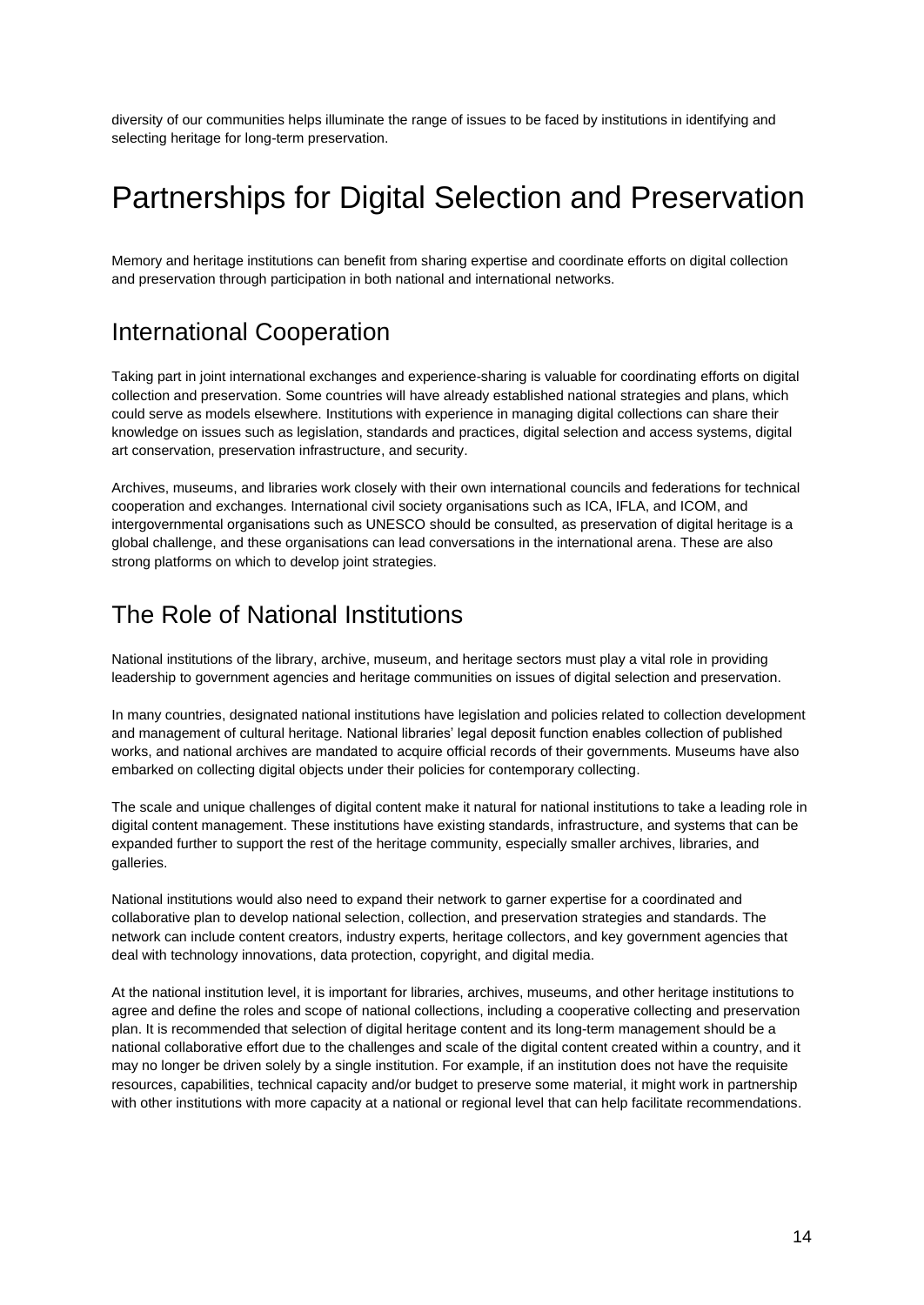diversity of our communities helps illuminate the range of issues to be faced by institutions in identifying and selecting heritage for long-term preservation.

## Partnerships for Digital Selection and Preservation

Memory and heritage institutions can benefit from sharing expertise and coordinate efforts on digital collection and preservation through participation in both national and international networks.

## International Cooperation

Taking part in joint international exchanges and experience-sharing is valuable for coordinating efforts on digital collection and preservation. Some countries will have already established national strategies and plans, which could serve as models elsewhere. Institutions with experience in managing digital collections can share their knowledge on issues such as legislation, standards and practices, digital selection and access systems, digital art conservation, preservation infrastructure, and security.

Archives, museums, and libraries work closely with their own international councils and federations for technical cooperation and exchanges. International civil society organisations such as ICA, IFLA, and ICOM, and intergovernmental organisations such as UNESCO should be consulted, as preservation of digital heritage is a global challenge, and these organisations can lead conversations in the international arena. These are also strong platforms on which to develop joint strategies.

## The Role of National Institutions

National institutions of the library, archive, museum, and heritage sectors must play a vital role in providing leadership to government agencies and heritage communities on issues of digital selection and preservation.

In many countries, designated national institutions have legislation and policies related to collection development and management of cultural heritage. National libraries' legal deposit function enables collection of published works, and national archives are mandated to acquire official records of their governments. Museums have also embarked on collecting digital objects under their policies for contemporary collecting.

The scale and unique challenges of digital content make it natural for national institutions to take a leading role in digital content management. These institutions have existing standards, infrastructure, and systems that can be expanded further to support the rest of the heritage community, especially smaller archives, libraries, and galleries.

National institutions would also need to expand their network to garner expertise for a coordinated and collaborative plan to develop national selection, collection, and preservation strategies and standards. The network can include content creators, industry experts, heritage collectors, and key government agencies that deal with technology innovations, data protection, copyright, and digital media.

At the national institution level, it is important for libraries, archives, museums, and other heritage institutions to agree and define the roles and scope of national collections, including a cooperative collecting and preservation plan. It is recommended that selection of digital heritage content and its long-term management should be a national collaborative effort due to the challenges and scale of the digital content created within a country, and it may no longer be driven solely by a single institution. For example, if an institution does not have the requisite resources, capabilities, technical capacity and/or budget to preserve some material, it might work in partnership with other institutions with more capacity at a national or regional level that can help facilitate recommendations.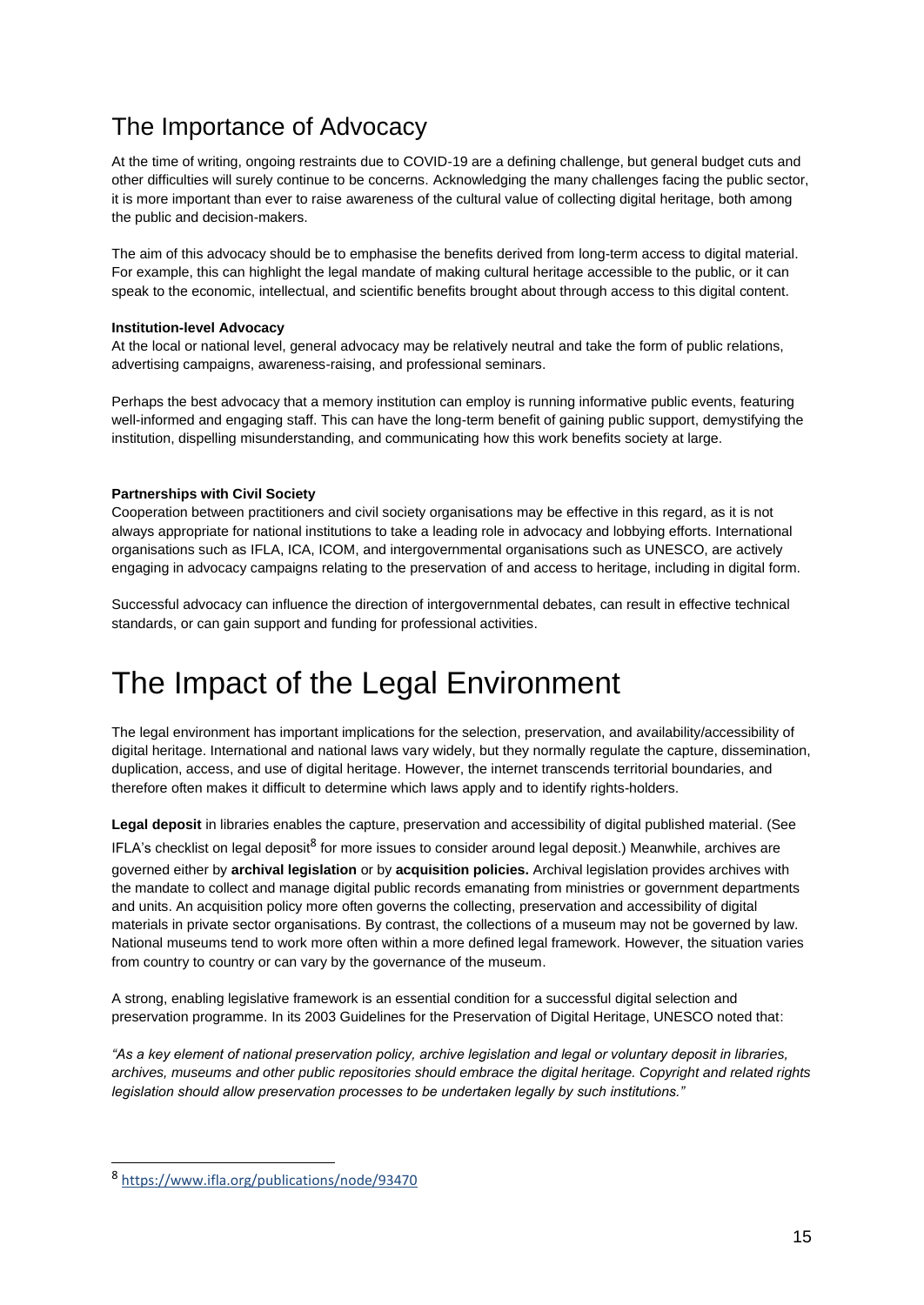## The Importance of Advocacy

At the time of writing, ongoing restraints due to COVID-19 are a defining challenge, but general budget cuts and other difficulties will surely continue to be concerns. Acknowledging the many challenges facing the public sector, it is more important than ever to raise awareness of the cultural value of collecting digital heritage, both among the public and decision-makers.

The aim of this advocacy should be to emphasise the benefits derived from long-term access to digital material. For example, this can highlight the legal mandate of making cultural heritage accessible to the public, or it can speak to the economic, intellectual, and scientific benefits brought about through access to this digital content.

### **Institution-level Advocacy**

At the local or national level, general advocacy may be relatively neutral and take the form of public relations, advertising campaigns, awareness-raising, and professional seminars.

Perhaps the best advocacy that a memory institution can employ is running informative public events, featuring well-informed and engaging staff. This can have the long-term benefit of gaining public support, demystifying the institution, dispelling misunderstanding, and communicating how this work benefits society at large.

#### **Partnerships with Civil Society**

Cooperation between practitioners and civil society organisations may be effective in this regard, as it is not always appropriate for national institutions to take a leading role in advocacy and lobbying efforts. International organisations such as IFLA, ICA, ICOM, and intergovernmental organisations such as UNESCO, are actively engaging in advocacy campaigns relating to the preservation of and access to heritage, including in digital form.

Successful advocacy can influence the direction of intergovernmental debates, can result in effective technical standards, or can gain support and funding for professional activities.

## <span id="page-15-0"></span>The Impact of the Legal Environment

The legal environment has important implications for the selection, preservation, and availability/accessibility of digital heritage. International and national laws vary widely, but they normally regulate the capture, dissemination, duplication, access, and use of digital heritage. However, the internet transcends territorial boundaries, and therefore often makes it difficult to determine which laws apply and to identify rights-holders.

**Legal deposit** in libraries enables the capture, preservation and accessibility of digital published material. (See

IFLA's checklist on legal deposit<sup>8</sup> for more issues to consider around legal deposit.) Meanwhile, archives are governed either by **archival legislation** or by **acquisition policies.** Archival legislation provides archives with the mandate to collect and manage digital public records emanating from ministries or government departments and units. An acquisition policy more often governs the collecting, preservation and accessibility of digital materials in private sector organisations. By contrast, the collections of a museum may not be governed by law. National museums tend to work more often within a more defined legal framework. However, the situation varies from country to country or can vary by the governance of the museum.

A strong, enabling legislative framework is an essential condition for a successful digital selection and preservation programme. In its 2003 Guidelines for the Preservation of Digital Heritage, UNESCO noted that:

*"As a key element of national preservation policy, archive legislation and legal or voluntary deposit in libraries, archives, museums and other public repositories should embrace the digital heritage. Copyright and related rights legislation should allow preservation processes to be undertaken legally by such institutions."* 

<sup>8</sup> <https://www.ifla.org/publications/node/93470>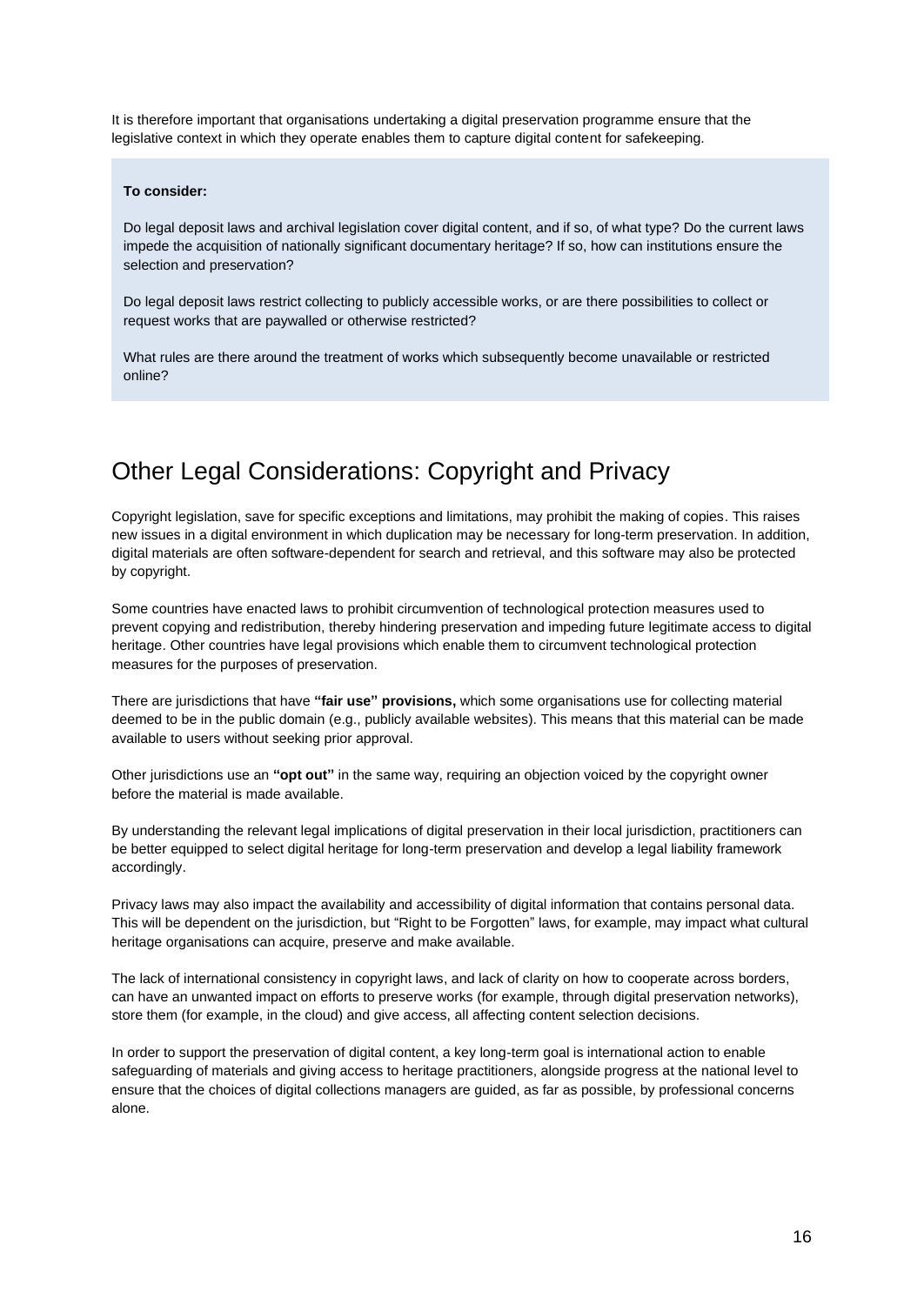It is therefore important that organisations undertaking a digital preservation programme ensure that the legislative context in which they operate enables them to capture digital content for safekeeping.

#### **To consider:**

Do legal deposit laws and archival legislation cover digital content, and if so, of what type? Do the current laws impede the acquisition of nationally significant documentary heritage? If so, how can institutions ensure the selection and preservation?

Do legal deposit laws restrict collecting to publicly accessible works, or are there possibilities to collect or request works that are paywalled or otherwise restricted?

What rules are there around the treatment of works which subsequently become unavailable or restricted online?

## Other Legal Considerations: Copyright and Privacy

Copyright legislation, save for specific exceptions and limitations, may prohibit the making of copies. This raises new issues in a digital environment in which duplication may be necessary for long-term preservation. In addition, digital materials are often software-dependent for search and retrieval, and this software may also be protected by copyright.

Some countries have enacted laws to prohibit circumvention of technological protection measures used to prevent copying and redistribution, thereby hindering preservation and impeding future legitimate access to digital heritage. Other countries have legal provisions which enable them to circumvent technological protection measures for the purposes of preservation.

There are jurisdictions that have **"fair use" provisions,** which some organisations use for collecting material deemed to be in the public domain (e.g., publicly available websites). This means that this material can be made available to users without seeking prior approval.

Other jurisdictions use an **"opt out"** in the same way, requiring an objection voiced by the copyright owner before the material is made available.

By understanding the relevant legal implications of digital preservation in their local jurisdiction, practitioners can be better equipped to select digital heritage for long-term preservation and develop a legal liability framework accordingly.

Privacy laws may also impact the availability and accessibility of digital information that contains personal data. This will be dependent on the jurisdiction, but "Right to be Forgotten" laws, for example, may impact what cultural heritage organisations can acquire, preserve and make available.

The lack of international consistency in copyright laws, and lack of clarity on how to cooperate across borders, can have an unwanted impact on efforts to preserve works (for example, through digital preservation networks), store them (for example, in the cloud) and give access, all affecting content selection decisions.

In order to support the preservation of digital content, a key long-term goal is international action to enable safeguarding of materials and giving access to heritage practitioners, alongside progress at the national level to ensure that the choices of digital collections managers are guided, as far as possible, by professional concerns alone.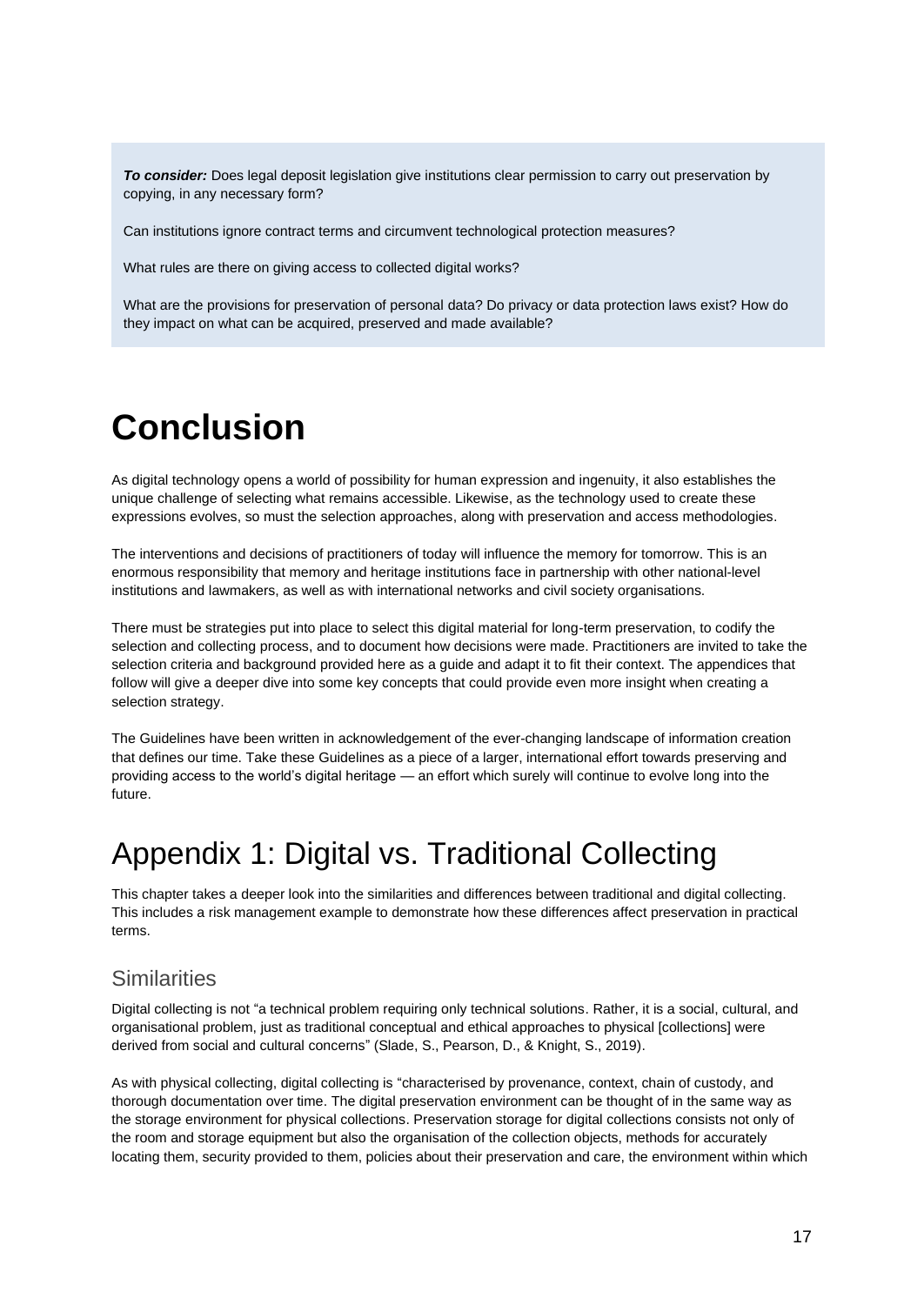*To consider:* Does legal deposit legislation give institutions clear permission to carry out preservation by copying, in any necessary form?

Can institutions ignore contract terms and circumvent technological protection measures?

What rules are there on giving access to collected digital works?

What are the provisions for preservation of personal data? Do privacy or data protection laws exist? How do they impact on what can be acquired, preserved and made available?

## <span id="page-17-0"></span>**Conclusion**

As digital technology opens a world of possibility for human expression and ingenuity, it also establishes the unique challenge of selecting what remains accessible. Likewise, as the technology used to create these expressions evolves, so must the selection approaches, along with preservation and access methodologies.

The interventions and decisions of practitioners of today will influence the memory for tomorrow. This is an enormous responsibility that memory and heritage institutions face in partnership with other national-level institutions and lawmakers, as well as with international networks and civil society organisations.

There must be strategies put into place to select this digital material for long-term preservation, to codify the selection and collecting process, and to document how decisions were made. Practitioners are invited to take the selection criteria and background provided here as a guide and adapt it to fit their context. The appendices that follow will give a deeper dive into some key concepts that could provide even more insight when creating a selection strategy.

The Guidelines have been written in acknowledgement of the ever-changing landscape of information creation that defines our time. Take these Guidelines as a piece of a larger, international effort towards preserving and providing access to the world's digital heritage — an effort which surely will continue to evolve long into the future.

## <span id="page-17-1"></span>Appendix 1: Digital vs. Traditional Collecting

This chapter takes a deeper look into the similarities and differences between traditional and digital collecting. This includes a risk management example to demonstrate how these differences affect preservation in practical terms.

### **Similarities**

Digital collecting is not "a technical problem requiring only technical solutions. Rather, it is a social, cultural, and organisational problem, just as traditional conceptual and ethical approaches to physical [collections] were derived from social and cultural concerns" (Slade, S., Pearson, D., & Knight, S., 2019).

As with physical collecting, digital collecting is "characterised by provenance, context, chain of custody, and thorough documentation over time. The digital preservation environment can be thought of in the same way as the storage environment for physical collections. Preservation storage for digital collections consists not only of the room and storage equipment but also the organisation of the collection objects, methods for accurately locating them, security provided to them, policies about their preservation and care, the environment within which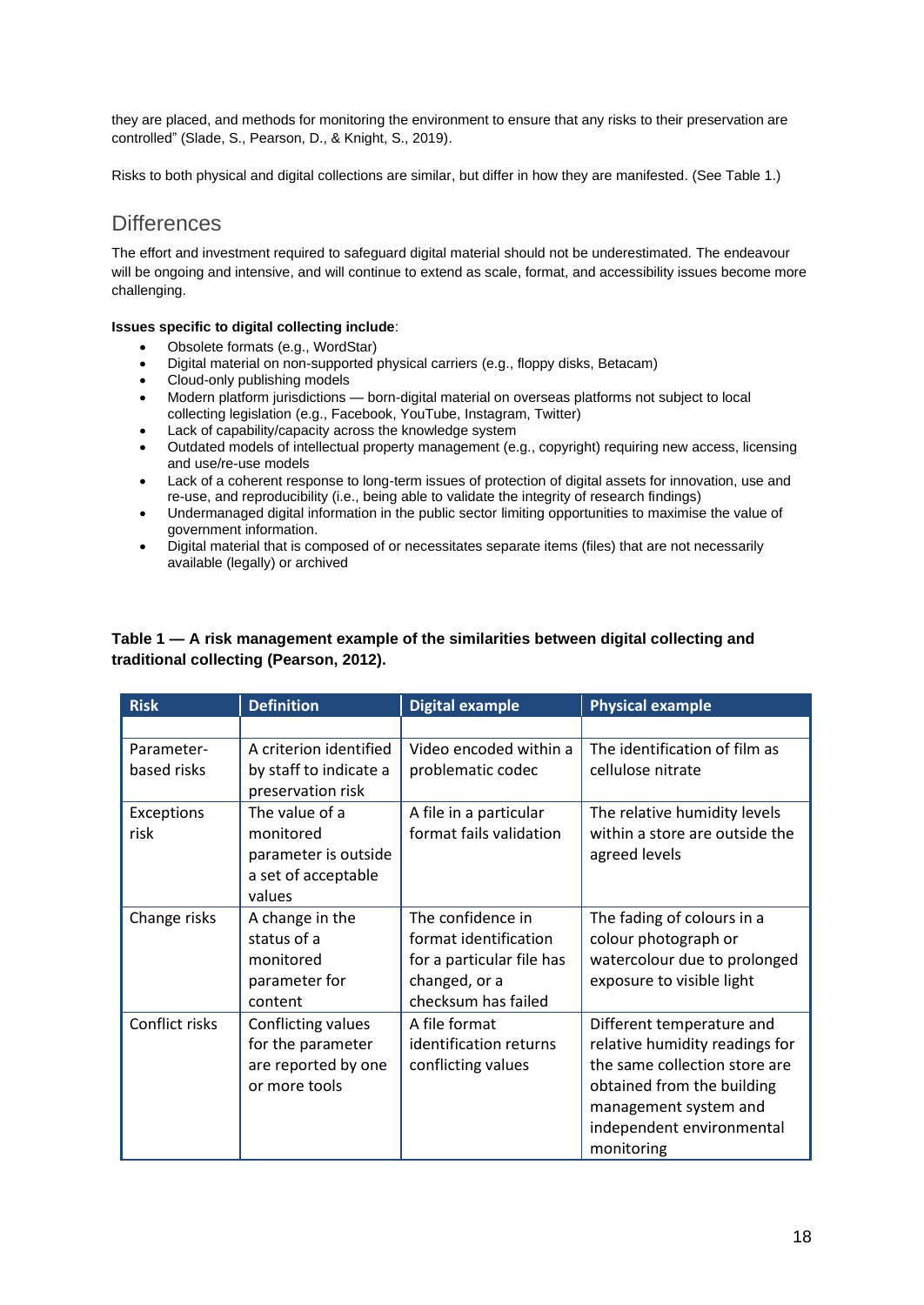they are placed, and methods for monitoring the environment to ensure that any risks to their preservation are controlled" (Slade, S., Pearson, D., & Knight, S., 2019).

Risks to both physical and digital collections are similar, but differ in how they are manifested. (See Table 1.)

### **Differences**

The effort and investment required to safeguard digital material should not be underestimated. The endeavour will be ongoing and intensive, and will continue to extend as scale, format, and accessibility issues become more challenging.

### **Issues specific to digital collecting include**:

- Obsolete formats (e.g., WordStar)
- Digital material on non-supported physical carriers (e.g., floppy disks, Betacam)
- Cloud-only publishing models
- Modern platform jurisdictions born-digital material on overseas platforms not subject to local collecting legislation (e.g., Facebook, YouTube, Instagram, Twitter)
- Lack of capability/capacity across the knowledge system
- Outdated models of intellectual property management (e.g., copyright) requiring new access, licensing and use/re-use models
- Lack of a coherent response to long-term issues of protection of digital assets for innovation, use and re-use, and reproducibility (i.e., being able to validate the integrity of research findings)
- Undermanaged digital information in the public sector limiting opportunities to maximise the value of government information.
- Digital material that is composed of or necessitates separate items (files) that are not necessarily available (legally) or archived

### **Table 1 — A risk management example of the similarities between digital collecting and traditional collecting (Pearson, 2012).**

| <b>Risk</b>               | <b>Definition</b>                                                                    | <b>Digital example</b>                                                                                          | <b>Physical example</b>                                                                                                                                                                        |
|---------------------------|--------------------------------------------------------------------------------------|-----------------------------------------------------------------------------------------------------------------|------------------------------------------------------------------------------------------------------------------------------------------------------------------------------------------------|
|                           |                                                                                      |                                                                                                                 |                                                                                                                                                                                                |
| Parameter-<br>based risks | A criterion identified<br>by staff to indicate a<br>preservation risk                | Video encoded within a<br>problematic codec                                                                     | The identification of film as<br>cellulose nitrate                                                                                                                                             |
| Exceptions<br>risk        | The value of a<br>monitored<br>parameter is outside<br>a set of acceptable<br>values | A file in a particular<br>format fails validation                                                               | The relative humidity levels<br>within a store are outside the<br>agreed levels                                                                                                                |
| Change risks              | A change in the<br>status of a<br>monitored<br>parameter for<br>content              | The confidence in<br>format identification<br>for a particular file has<br>changed, or a<br>checksum has failed | The fading of colours in a<br>colour photograph or<br>watercolour due to prolonged<br>exposure to visible light                                                                                |
| Conflict risks            | Conflicting values<br>for the parameter<br>are reported by one<br>or more tools      | A file format<br>identification returns<br>conflicting values                                                   | Different temperature and<br>relative humidity readings for<br>the same collection store are<br>obtained from the building<br>management system and<br>independent environmental<br>monitoring |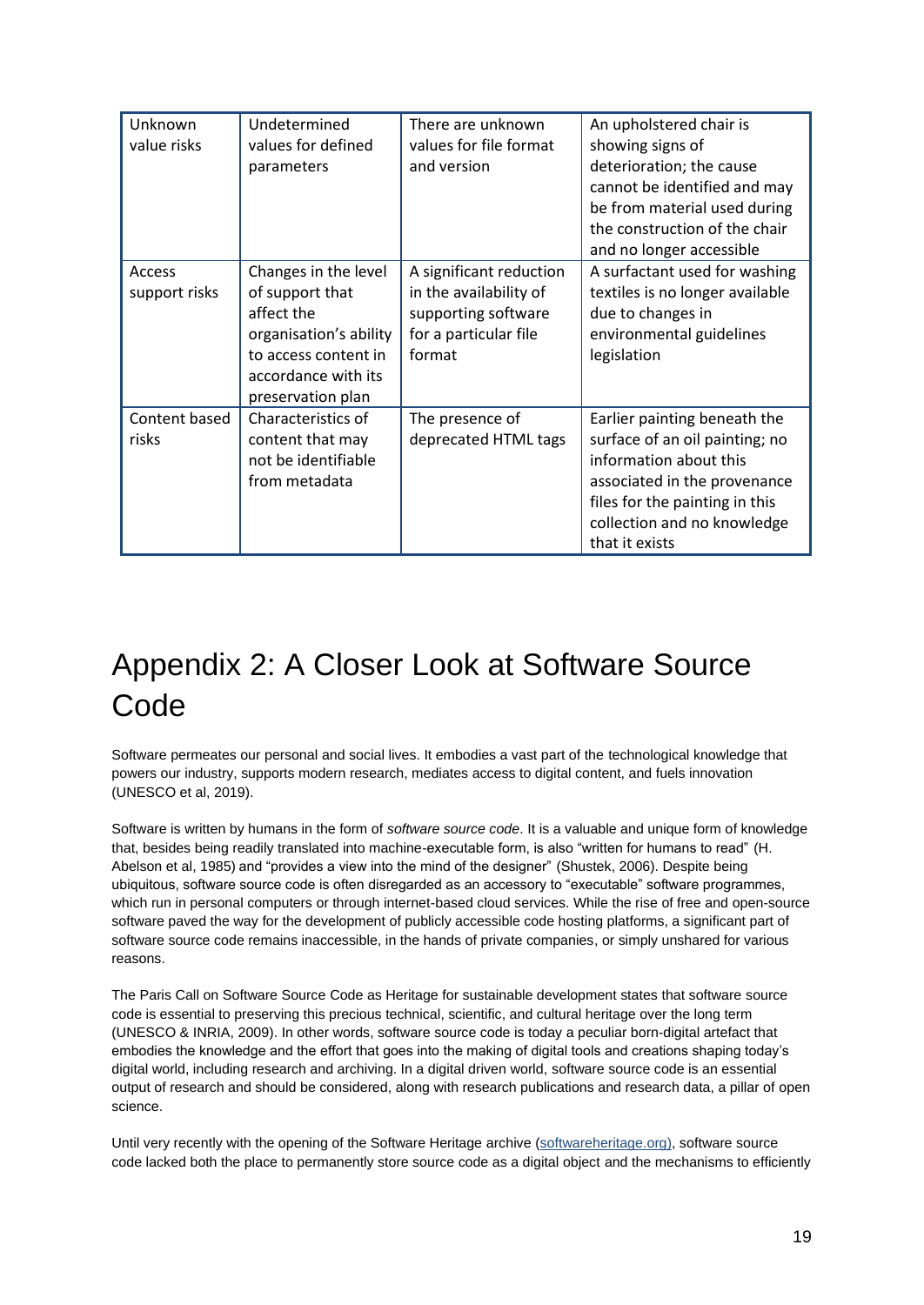| Unknown<br>value risks  | Undetermined<br>values for defined<br>parameters                                                                                                    | There are unknown<br>values for file format<br>and version                                                  | An upholstered chair is<br>showing signs of<br>deterioration; the cause<br>cannot be identified and may<br>be from material used during<br>the construction of the chair<br>and no longer accessible        |
|-------------------------|-----------------------------------------------------------------------------------------------------------------------------------------------------|-------------------------------------------------------------------------------------------------------------|-------------------------------------------------------------------------------------------------------------------------------------------------------------------------------------------------------------|
| Access<br>support risks | Changes in the level<br>of support that<br>affect the<br>organisation's ability<br>to access content in<br>accordance with its<br>preservation plan | A significant reduction<br>in the availability of<br>supporting software<br>for a particular file<br>format | A surfactant used for washing<br>textiles is no longer available<br>due to changes in<br>environmental guidelines<br>legislation                                                                            |
| Content based<br>risks  | Characteristics of<br>content that may<br>not be identifiable<br>from metadata                                                                      | The presence of<br>deprecated HTML tags                                                                     | Earlier painting beneath the<br>surface of an oil painting; no<br>information about this<br>associated in the provenance<br>files for the painting in this<br>collection and no knowledge<br>that it exists |

## <span id="page-19-0"></span>Appendix 2: A Closer Look at Software Source Code

Software permeates our personal and social lives. It embodies a vast part of the technological knowledge that powers our industry, supports modern research, mediates access to digital content, and fuels innovation (UNESCO et al, 2019).

Software is written by humans in the form of *software source code*. It is a valuable and unique form of knowledge that, besides being readily translated into machine-executable form, is also "written for humans to read" (H. Abelson et al, 1985) and "provides a view into the mind of the designer" (Shustek, 2006). Despite being ubiquitous, software source code is often disregarded as an accessory to "executable" software programmes, which run in personal computers or through internet-based cloud services. While the rise of free and open-source software paved the way for the development of publicly accessible code hosting platforms, a significant part of software source code remains inaccessible, in the hands of private companies, or simply unshared for various reasons.

The Paris Call on Software Source Code as Heritage for sustainable development states that software source code is essential to preserving this precious technical, scientific, and cultural heritage over the long term (UNESCO & INRIA, 2009). In other words, software source code is today a peculiar born-digital artefact that embodies the knowledge and the effort that goes into the making of digital tools and creations shaping today's digital world, including research and archiving. In a digital driven world, software source code is an essential output of research and should be considered, along with research publications and research data, a pillar of open science.

Until very recently with the opening of the Software Heritage archive [\(softwareheritage.org\)](https://softwareheritage.org/), software source code lacked both the place to permanently store source code as a digital object and the mechanisms to efficiently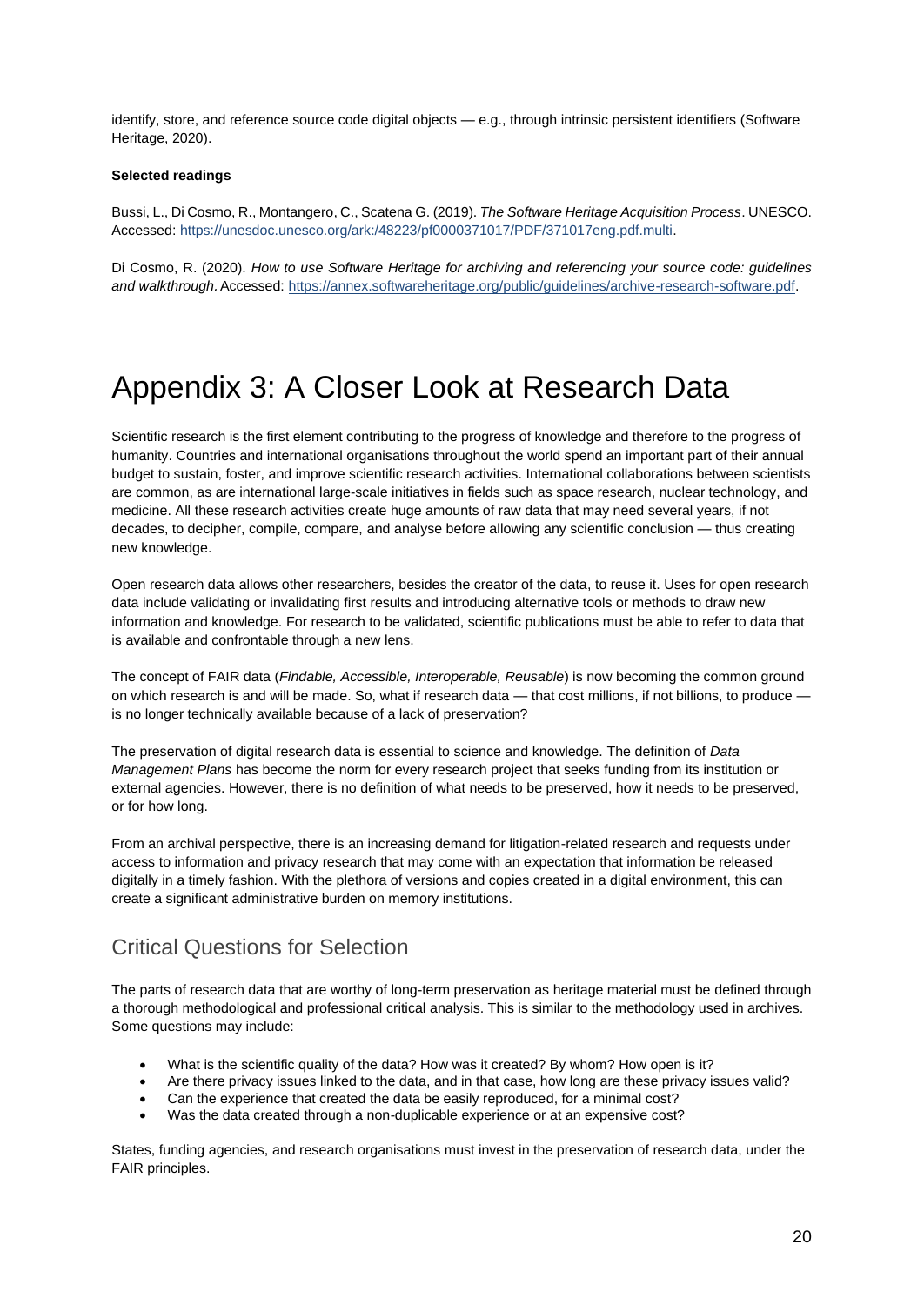identify, store, and reference source code digital objects — e.g., through intrinsic persistent identifiers (Software Heritage, 2020).

#### **Selected readings**

Bussi, L., Di Cosmo, R., Montangero, C., Scatena G. (2019). *The Software Heritage Acquisition Process*. UNESCO. Accessed: [https://unesdoc.unesco.org/ark:/48223/pf0000371017/PDF/371017eng.pdf.multi.](https://unesdoc.unesco.org/ark:/48223/pf0000371017/PDF/371017eng.pdf.multi)

Di Cosmo, R. (2020). *How to use Software Heritage for archiving and referencing your source code: guidelines and walkthrough*. Accessed: [https://annex.softwareheritage.org/public/guidelines/archive-research-software.pdf.](https://annex.softwareheritage.org/public/guidelines/archive-research-software.pdf)

## <span id="page-20-0"></span>Appendix 3: A Closer Look at Research Data

Scientific research is the first element contributing to the progress of knowledge and therefore to the progress of humanity. Countries and international organisations throughout the world spend an important part of their annual budget to sustain, foster, and improve scientific research activities. International collaborations between scientists are common, as are international large-scale initiatives in fields such as space research, nuclear technology, and medicine. All these research activities create huge amounts of raw data that may need several years, if not decades, to decipher, compile, compare, and analyse before allowing any scientific conclusion — thus creating new knowledge.

Open research data allows other researchers, besides the creator of the data, to reuse it. Uses for open research data include validating or invalidating first results and introducing alternative tools or methods to draw new information and knowledge. For research to be validated, scientific publications must be able to refer to data that is available and confrontable through a new lens.

The concept of FAIR data (*Findable, Accessible, Interoperable, Reusable*) is now becoming the common ground on which research is and will be made. So, what if research data — that cost millions, if not billions, to produce is no longer technically available because of a lack of preservation?

The preservation of digital research data is essential to science and knowledge. The definition of *Data Management Plans* has become the norm for every research project that seeks funding from its institution or external agencies. However, there is no definition of what needs to be preserved, how it needs to be preserved, or for how long.

From an archival perspective, there is an increasing demand for litigation-related research and requests under access to information and privacy research that may come with an expectation that information be released digitally in a timely fashion. With the plethora of versions and copies created in a digital environment, this can create a significant administrative burden on memory institutions.

### Critical Questions for Selection

The parts of research data that are worthy of long-term preservation as heritage material must be defined through a thorough methodological and professional critical analysis. This is similar to the methodology used in archives. Some questions may include:

- What is the scientific quality of the data? How was it created? By whom? How open is it?
- Are there privacy issues linked to the data, and in that case, how long are these privacy issues valid?
- Can the experience that created the data be easily reproduced, for a minimal cost?
- Was the data created through a non-duplicable experience or at an expensive cost?

States, funding agencies, and research organisations must invest in the preservation of research data, under the FAIR principles.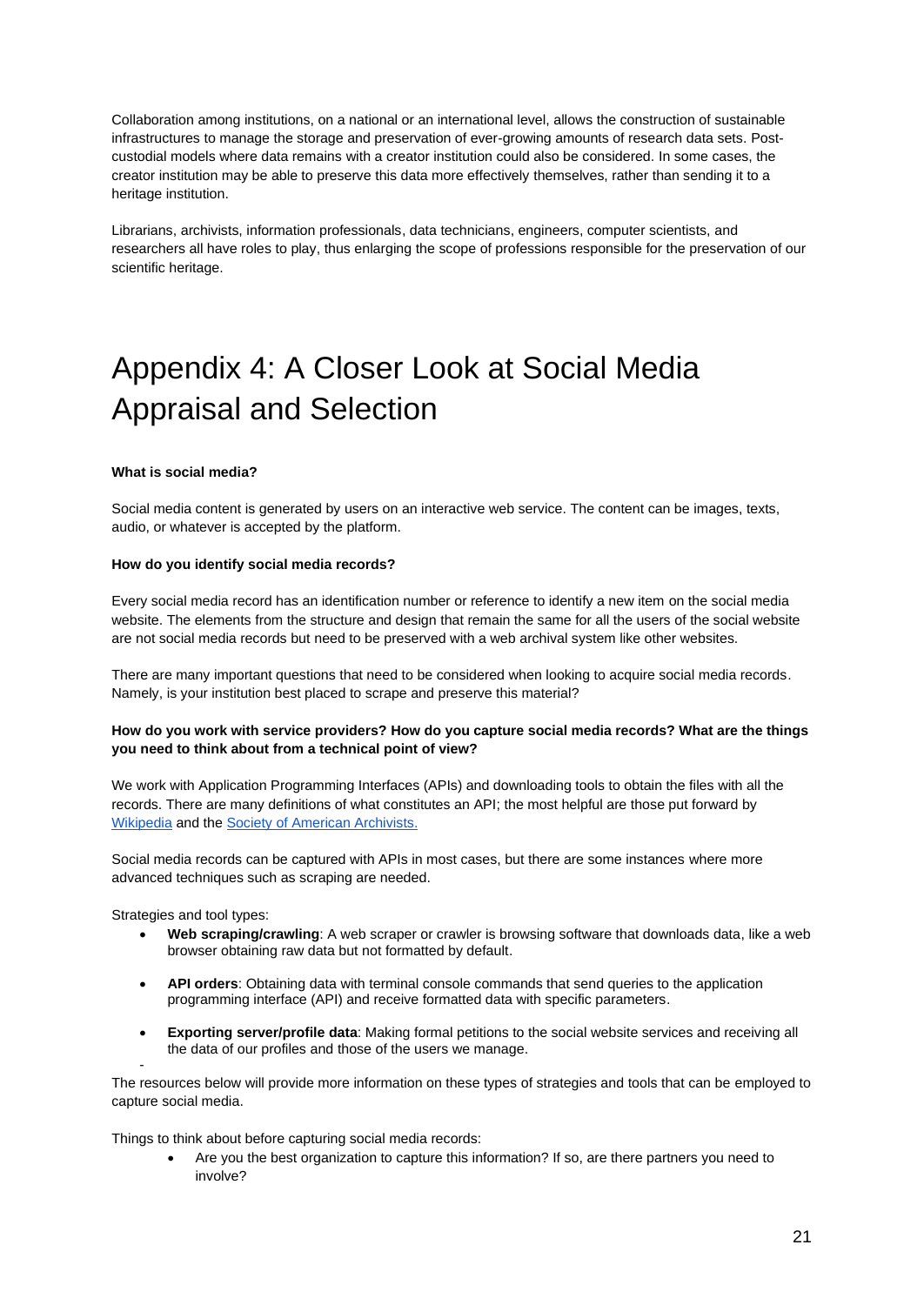Collaboration among institutions, on a national or an international level, allows the construction of sustainable infrastructures to manage the storage and preservation of ever-growing amounts of research data sets. Postcustodial models where data remains with a creator institution could also be considered. In some cases, the creator institution may be able to preserve this data more effectively themselves, rather than sending it to a heritage institution.

Librarians, archivists, information professionals, data technicians, engineers, computer scientists, and researchers all have roles to play, thus enlarging the scope of professions responsible for the preservation of our scientific heritage.

## <span id="page-21-0"></span>Appendix 4: A Closer Look at Social Media Appraisal and Selection

#### **What is social media?**

Social media content is generated by users on an interactive web service. The content can be images, texts, audio, or whatever is accepted by the platform.

#### **How do you identify social media records?**

Every social media record has an identification number or reference to identify a new item on the social media website. The elements from the structure and design that remain the same for all the users of the social website are not social media records but need to be preserved with a web archival system like other websites.

There are many important questions that need to be considered when looking to acquire social media records. Namely, is your institution best placed to scrape and preserve this material?

### **How do you work with service providers? How do you capture social media records? What are the things you need to think about from a technical point of view?**

We work with Application Programming Interfaces (APIs) and downloading tools to obtain the files with all the records. There are many definitions of what constitutes an API; the most helpful are those put forward by [Wikipedia](https://en.wikipedia.org/wiki/API) and the [Society of American Archivists.](https://dictionary.archivists.org/entry/application-program-interface.html)

Social media records can be captured with APIs in most cases, but there are some instances where more advanced techniques such as scraping are needed.

Strategies and tool types:

-

- **Web scraping/crawling**: A web scraper or crawler is browsing software that downloads data, like a web browser obtaining raw data but not formatted by default.
- **API orders**: Obtaining data with terminal console commands that send queries to the application programming interface (API) and receive formatted data with specific parameters.
- **Exporting server/profile data**: Making formal petitions to the social website services and receiving all the data of our profiles and those of the users we manage.

The resources below will provide more information on these types of strategies and tools that can be employed to capture social media.

Things to think about before capturing social media records:

• Are you the best organization to capture this information? If so, are there partners you need to involve?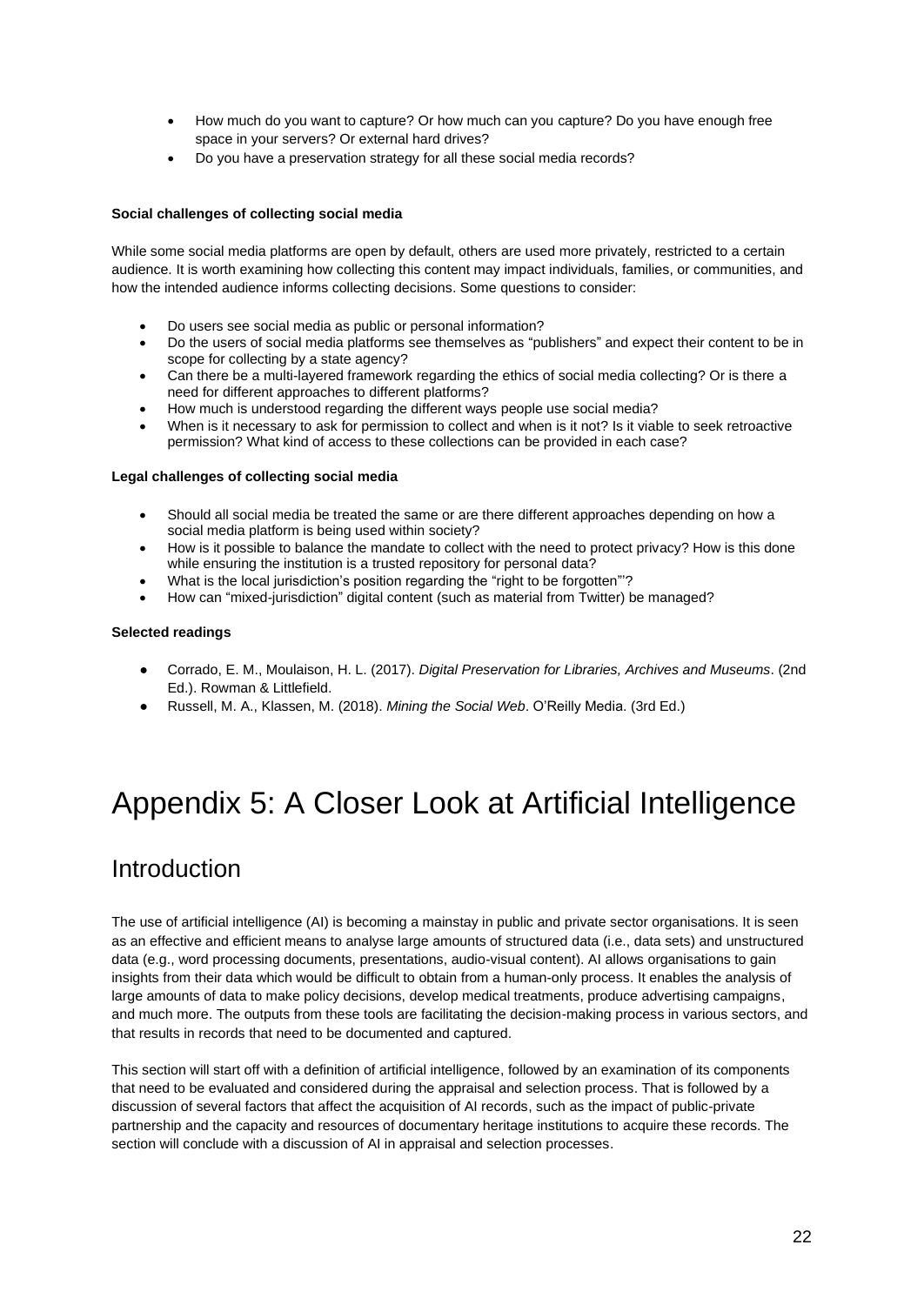- How much do you want to capture? Or how much can you capture? Do you have enough free space in your servers? Or external hard drives?
- Do you have a preservation strategy for all these social media records?

### **Social challenges of collecting social media**

While some social media platforms are open by default, others are used more privately, restricted to a certain audience. It is worth examining how collecting this content may impact individuals, families, or communities, and how the intended audience informs collecting decisions. Some questions to consider:

- Do users see social media as public or personal information?
- Do the users of social media platforms see themselves as "publishers" and expect their content to be in scope for collecting by a state agency?
- Can there be a multi-layered framework regarding the ethics of social media collecting? Or is there a need for different approaches to different platforms?
- How much is understood regarding the different ways people use social media?
- When is it necessary to ask for permission to collect and when is it not? Is it viable to seek retroactive permission? What kind of access to these collections can be provided in each case?

### **Legal challenges of collecting social media**

- Should all social media be treated the same or are there different approaches depending on how a social media platform is being used within society?
- How is it possible to balance the mandate to collect with the need to protect privacy? How is this done while ensuring the institution is a trusted repository for personal data?
- What is the local jurisdiction's position regarding the "right to be forgotten"'?
- How can "mixed-jurisdiction" digital content (such as material from Twitter) be managed?

### **Selected readings**

- Corrado, E. M., Moulaison, H. L. (2017). *Digital Preservation for Libraries, Archives and Museums*. (2nd Ed.). Rowman & Littlefield.
- Russell, M. A., Klassen, M. (2018). *Mining the Social Web*. O'Reilly Media. (3rd Ed.)

## <span id="page-22-0"></span>Appendix 5: A Closer Look at Artificial Intelligence

## **Introduction**

The use of artificial intelligence (AI) is becoming a mainstay in public and private sector organisations. It is seen as an effective and efficient means to analyse large amounts of structured data (i.e., data sets) and unstructured data (e.g., word processing documents, presentations, audio-visual content). AI allows organisations to gain insights from their data which would be difficult to obtain from a human-only process. It enables the analysis of large amounts of data to make policy decisions, develop medical treatments, produce advertising campaigns, and much more. The outputs from these tools are facilitating the decision-making process in various sectors, and that results in records that need to be documented and captured.

This section will start off with a definition of artificial intelligence, followed by an examination of its components that need to be evaluated and considered during the appraisal and selection process. That is followed by a discussion of several factors that affect the acquisition of AI records, such as the impact of public-private partnership and the capacity and resources of documentary heritage institutions to acquire these records. The section will conclude with a discussion of AI in appraisal and selection processes.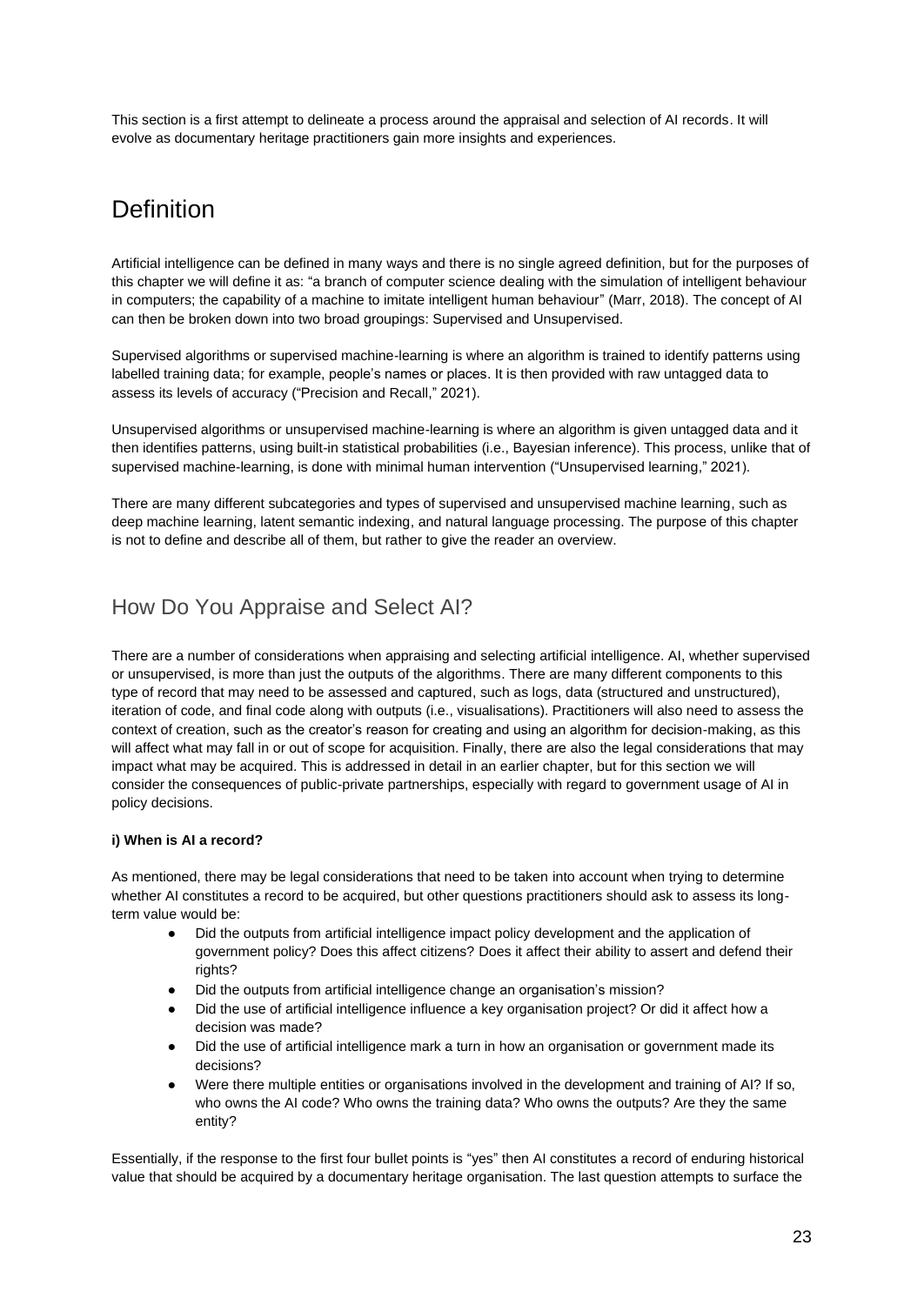This section is a first attempt to delineate a process around the appraisal and selection of AI records. It will evolve as documentary heritage practitioners gain more insights and experiences.

## **Definition**

Artificial intelligence can be defined in many ways and there is no single agreed definition, but for the purposes of this chapter we will define it as: "a branch of computer science dealing with the simulation of intelligent behaviour in computers; the capability of a machine to imitate intelligent human behaviour" (Marr, 2018). The concept of AI can then be broken down into two broad groupings: Supervised and Unsupervised.

Supervised algorithms or supervised machine-learning is where an algorithm is trained to identify patterns using labelled training data; for example, people's names or places. It is then provided with raw untagged data to assess its levels of accuracy ("Precision and Recall," 2021).

Unsupervised algorithms or unsupervised machine-learning is where an algorithm is given untagged data and it then identifies patterns, using built-in statistical probabilities (i.e., Bayesian inference). This process, unlike that of supervised machine-learning, is done with minimal human intervention ("Unsupervised learning," 2021).

There are many different subcategories and types of supervised and unsupervised machine learning, such as deep machine learning, latent semantic indexing, and natural language processing. The purpose of this chapter is not to define and describe all of them, but rather to give the reader an overview.

### How Do You Appraise and Select AI?

There are a number of considerations when appraising and selecting artificial intelligence. AI, whether supervised or unsupervised, is more than just the outputs of the algorithms. There are many different components to this type of record that may need to be assessed and captured, such as logs, data (structured and unstructured), iteration of code, and final code along with outputs (i.e., visualisations). Practitioners will also need to assess the context of creation, such as the creator's reason for creating and using an algorithm for decision-making, as this will affect what may fall in or out of scope for acquisition. Finally, there are also the legal considerations that may impact what may be acquired. This is addressed in detail in an earlier chapter, but for this section we will consider the consequences of public-private partnerships, especially with regard to government usage of AI in policy decisions.

### **i) When is AI a record?**

As mentioned, there may be legal considerations that need to be taken into account when trying to determine whether AI constitutes a record to be acquired, but other questions practitioners should ask to assess its longterm value would be:

- Did the outputs from artificial intelligence impact policy development and the application of government policy? Does this affect citizens? Does it affect their ability to assert and defend their rights?
- Did the outputs from artificial intelligence change an organisation's mission?
- Did the use of artificial intelligence influence a key organisation project? Or did it affect how a decision was made?
- Did the use of artificial intelligence mark a turn in how an organisation or government made its decisions?
- Were there multiple entities or organisations involved in the development and training of AI? If so, who owns the AI code? Who owns the training data? Who owns the outputs? Are they the same entity?

Essentially, if the response to the first four bullet points is "yes" then AI constitutes a record of enduring historical value that should be acquired by a documentary heritage organisation. The last question attempts to surface the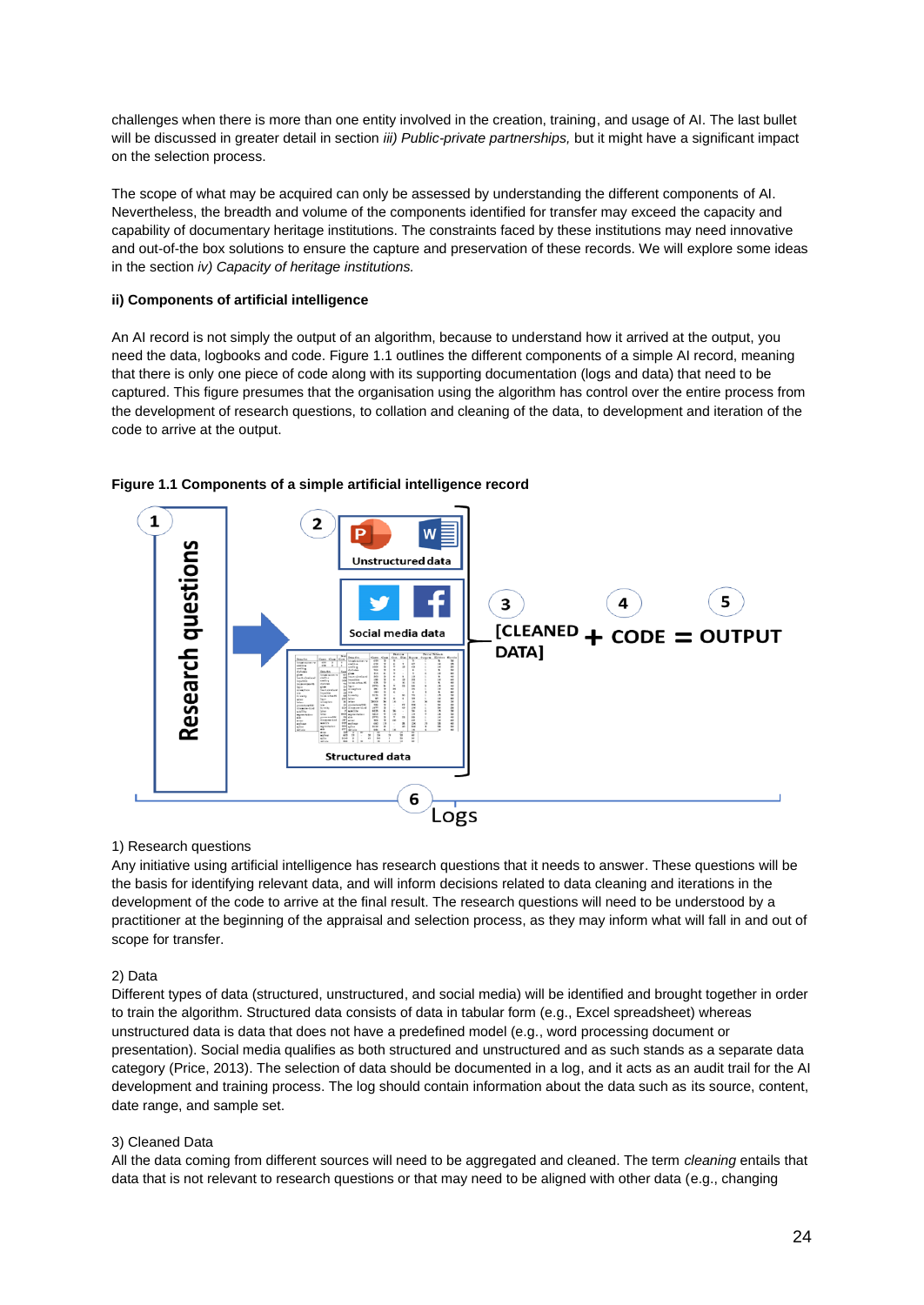challenges when there is more than one entity involved in the creation, training, and usage of AI. The last bullet will be discussed in greater detail in section *iii) Public-private partnerships,* but it might have a significant impact on the selection process.

The scope of what may be acquired can only be assessed by understanding the different components of AI. Nevertheless, the breadth and volume of the components identified for transfer may exceed the capacity and capability of documentary heritage institutions. The constraints faced by these institutions may need innovative and out-of-the box solutions to ensure the capture and preservation of these records. We will explore some ideas in the section *iv) Capacity of heritage institutions.*

#### **ii) Components of artificial intelligence**

An AI record is not simply the output of an algorithm, because to understand how it arrived at the output, you need the data, logbooks and code. Figure 1.1 outlines the different components of a simple AI record, meaning that there is only one piece of code along with its supporting documentation (logs and data) that need to be captured. This figure presumes that the organisation using the algorithm has control over the entire process from the development of research questions, to collation and cleaning of the data, to development and iteration of the code to arrive at the output.



#### **Figure 1.1 Components of a simple artificial intelligence record**

#### 1) Research questions

Any initiative using artificial intelligence has research questions that it needs to answer. These questions will be the basis for identifying relevant data, and will inform decisions related to data cleaning and iterations in the development of the code to arrive at the final result. The research questions will need to be understood by a practitioner at the beginning of the appraisal and selection process, as they may inform what will fall in and out of scope for transfer.

#### 2) Data

Different types of data (structured, unstructured, and social media) will be identified and brought together in order to train the algorithm. Structured data consists of data in tabular form (e.g., Excel spreadsheet) whereas unstructured data is data that does not have a predefined model (e.g., word processing document or presentation). Social media qualifies as both structured and unstructured and as such stands as a separate data category (Price, 2013). The selection of data should be documented in a log, and it acts as an audit trail for the AI development and training process. The log should contain information about the data such as its source, content, date range, and sample set.

#### 3) Cleaned Data

All the data coming from different sources will need to be aggregated and cleaned. The term *cleaning* entails that data that is not relevant to research questions or that may need to be aligned with other data (e.g., changing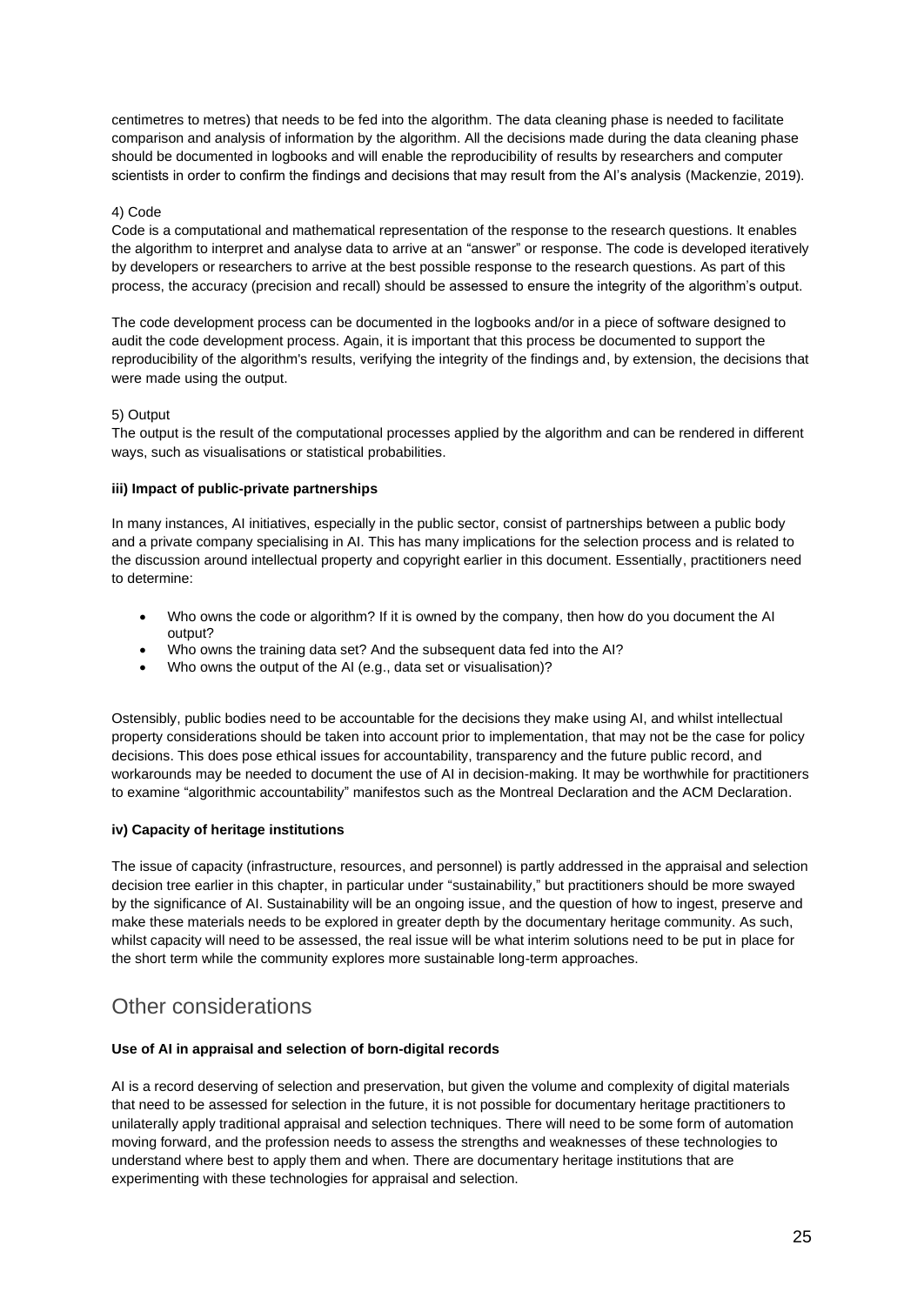centimetres to metres) that needs to be fed into the algorithm. The data cleaning phase is needed to facilitate comparison and analysis of information by the algorithm. All the decisions made during the data cleaning phase should be documented in logbooks and will enable the reproducibility of results by researchers and computer scientists in order to confirm the findings and decisions that may result from the AI's analysis (Mackenzie, 2019).

#### 4) Code

Code is a computational and mathematical representation of the response to the research questions. It enables the algorithm to interpret and analyse data to arrive at an "answer" or response. The code is developed iteratively by developers or researchers to arrive at the best possible response to the research questions. As part of this process, the accuracy (precision and recall) should be assessed to ensure the integrity of the algorithm's output.

The code development process can be documented in the logbooks and/or in a piece of software designed to audit the code development process. Again, it is important that this process be documented to support the reproducibility of the algorithm's results, verifying the integrity of the findings and, by extension, the decisions that were made using the output.

#### 5) Output

The output is the result of the computational processes applied by the algorithm and can be rendered in different ways, such as visualisations or statistical probabilities.

#### **iii) Impact of public-private partnerships**

In many instances, AI initiatives, especially in the public sector, consist of partnerships between a public body and a private company specialising in AI. This has many implications for the selection process and is related to the discussion around intellectual property and copyright earlier in this document. Essentially, practitioners need to determine:

- Who owns the code or algorithm? If it is owned by the company, then how do you document the AI output?
- Who owns the training data set? And the subsequent data fed into the AI?
- Who owns the output of the AI (e.g., data set or visualisation)?

Ostensibly, public bodies need to be accountable for the decisions they make using AI, and whilst intellectual property considerations should be taken into account prior to implementation, that may not be the case for policy decisions. This does pose ethical issues for accountability, transparency and the future public record, and workarounds may be needed to document the use of AI in decision-making. It may be worthwhile for practitioners to examine "algorithmic accountability" manifestos such as the Montreal Declaration and the ACM Declaration.

#### **iv) Capacity of heritage institutions**

The issue of capacity (infrastructure, resources, and personnel) is partly addressed in the appraisal and selection decision tree earlier in this chapter, in particular under "sustainability," but practitioners should be more swayed by the significance of AI. Sustainability will be an ongoing issue, and the question of how to ingest, preserve and make these materials needs to be explored in greater depth by the documentary heritage community. As such, whilst capacity will need to be assessed, the real issue will be what interim solutions need to be put in place for the short term while the community explores more sustainable long-term approaches.

### Other considerations

### **Use of AI in appraisal and selection of born-digital records**

AI is a record deserving of selection and preservation, but given the volume and complexity of digital materials that need to be assessed for selection in the future, it is not possible for documentary heritage practitioners to unilaterally apply traditional appraisal and selection techniques. There will need to be some form of automation moving forward, and the profession needs to assess the strengths and weaknesses of these technologies to understand where best to apply them and when. There are documentary heritage institutions that are experimenting with these technologies for appraisal and selection.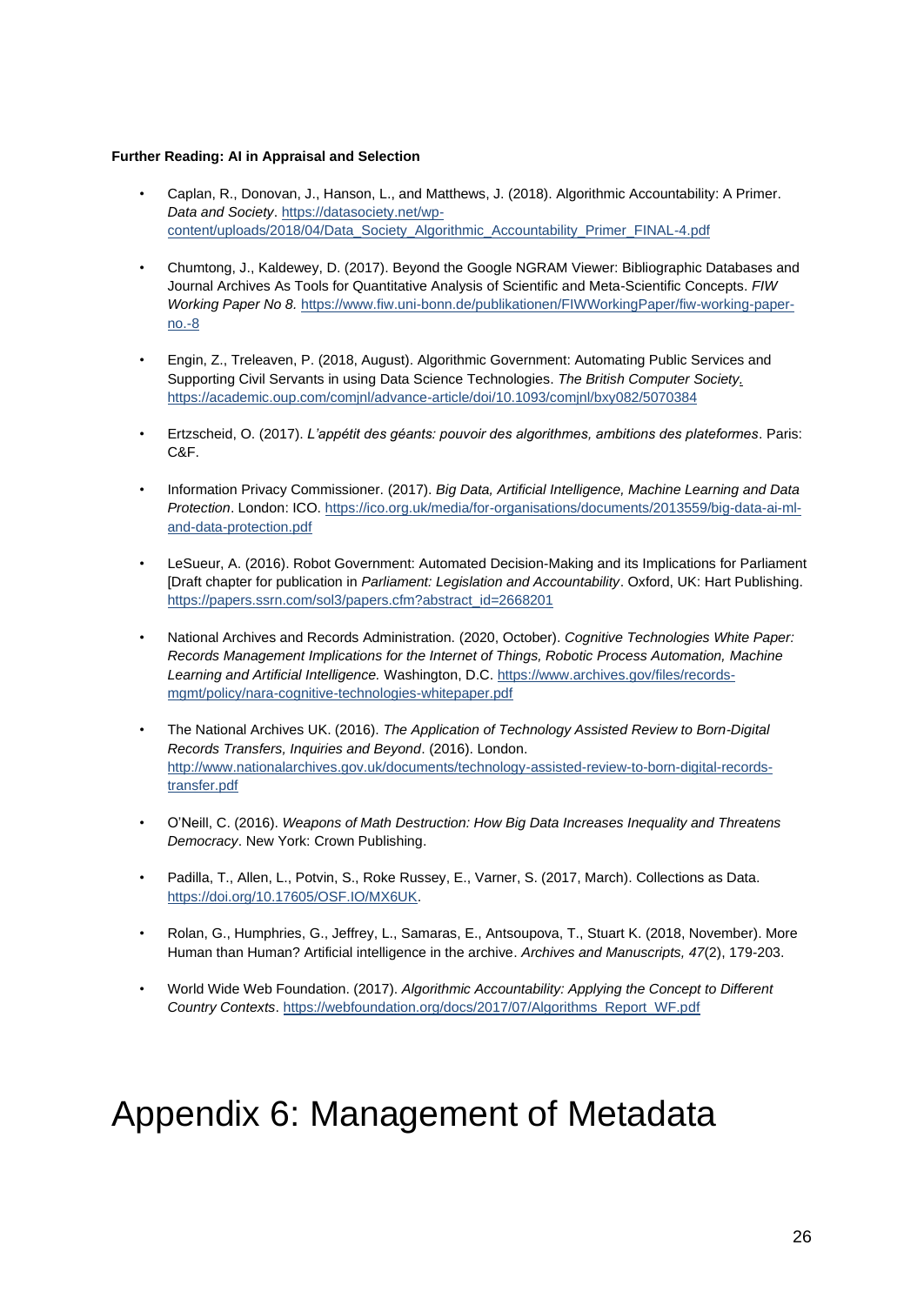#### **Further Reading: AI in Appraisal and Selectio[n](https://iflaorg-my.sharepoint.com/personal/claire_mcguire_ifla_org/Documents/CSG2_CMGedit_003.docx#_msocom_34)**

- Caplan, R., Donovan, J., Hanson, L., and Matthews, J. (2018). Algorithmic Accountability: A Primer. *Data and Society*[. https://datasociety.net/wp](https://datasociety.net/wp-content/uploads/2018/04/Data_Society_Algorithmic_Accountability_Primer_FINAL-4.pdf)[content/uploads/2018/04/Data\\_Society\\_Algorithmic\\_Accountability\\_Primer\\_FINAL-4.pdf](https://datasociety.net/wp-content/uploads/2018/04/Data_Society_Algorithmic_Accountability_Primer_FINAL-4.pdf)
- Chumtong, J., Kaldewey, D. (2017). Beyond the Google NGRAM Viewer: Bibliographic Databases and Journal Archives As Tools for Quantitative Analysis of Scientific and Meta-Scientific Concepts. *FIW Working Paper No 8.* [https://www.fiw.uni-bonn.de/publikationen/FIWWorkingPaper/fiw-working-paper](https://www.fiw.uni-bonn.de/publikationen/FIWWorkingPaper/fiw-working-paper-no.-8)[no.-8](https://www.fiw.uni-bonn.de/publikationen/FIWWorkingPaper/fiw-working-paper-no.-8)
- Engin, Z., Treleaven, P. (2018, August). Algorithmic Government: Automating Public Services and Supporting Civil Servants in using Data Science Technologies. *The British Computer Society.*  <https://academic.oup.com/comjnl/advance-article/doi/10.1093/comjnl/bxy082/5070384>
- Ertzscheid, O. (2017). *L'appétit des géants: pouvoir des algorithmes, ambitions des plateformes*. Paris: C&F.
- Information Privacy Commissioner. (2017). *Big Data, Artificial Intelligence, Machine Learning and Data Protection*. London: ICO. [https://ico.org.uk/media/for-organisations/documents/2013559/big-data-ai-ml](https://ico.org.uk/media/for-organisations/documents/2013559/big-data-ai-ml-and-data-protection.pdf)[and-data-protection.pdf](https://ico.org.uk/media/for-organisations/documents/2013559/big-data-ai-ml-and-data-protection.pdf)
- LeSueur, A. (2016). Robot Government: Automated Decision-Making and its Implications for Parliament [Draft chapter for publication in *Parliament: Legislation and Accountability*. Oxford, UK: Hart Publishing. [https://papers.ssrn.com/sol3/papers.cfm?abstract\\_id=2668201](https://papers.ssrn.com/sol3/papers.cfm?abstract_id=2668201)
- National Archives and Records Administration. (2020, October). *Cognitive Technologies White Paper: Records Management Implications for the Internet of Things, Robotic Process Automation, Machine Learning and Artificial Intelligence.* Washington, D.C[. https://www.archives.gov/files/records](https://www.archives.gov/files/records-mgmt/policy/nara-cognitive-technologies-whitepaper.pdf)[mgmt/policy/nara-cognitive-technologies-whitepaper.pdf](https://www.archives.gov/files/records-mgmt/policy/nara-cognitive-technologies-whitepaper.pdf)
- The National Archives UK. (2016). *The Application of Technology Assisted Review to Born-Digital Records Transfers, Inquiries and Beyond*. (2016). London. [http://www.nationalarchives.gov.uk/documents/technology-assisted-review-to-born-digital-records](http://www.nationalarchives.gov.uk/documents/technology-assisted-review-to-born-digital-records-transfer.pdf)[transfer.pdf](http://www.nationalarchives.gov.uk/documents/technology-assisted-review-to-born-digital-records-transfer.pdf)
- O'Neill, C. (2016). *Weapons of Math Destruction: How Big Data Increases Inequality and Threatens Democracy*. New York: Crown Publishing.
- Padilla, T., Allen, L., Potvin, S., Roke Russey, E., Varner, S. (2017, March). Collections as Data. [https://doi.org/10.17605/OSF.IO/MX6UK.](https://doi.org/10.17605/OSF.IO/MX6UK)
- Rolan, G., Humphries, G., Jeffrey, L., Samaras, E., Antsoupova, T., Stuart K. (2018, November). More Human than Human? Artificial intelligence in the archive. *Archives and Manuscripts, 47*(2), 179-203.
- World Wide Web Foundation. (2017). *Algorithmic Accountability: Applying the Concept to Different Country Contexts*[. https://webfoundation.org/docs/2017/07/Algorithms\\_Report\\_WF.pdf](https://webfoundation.org/docs/2017/07/Algorithms_Report_WF.pdf)

## <span id="page-26-0"></span>Appendix 6: Management of Metadata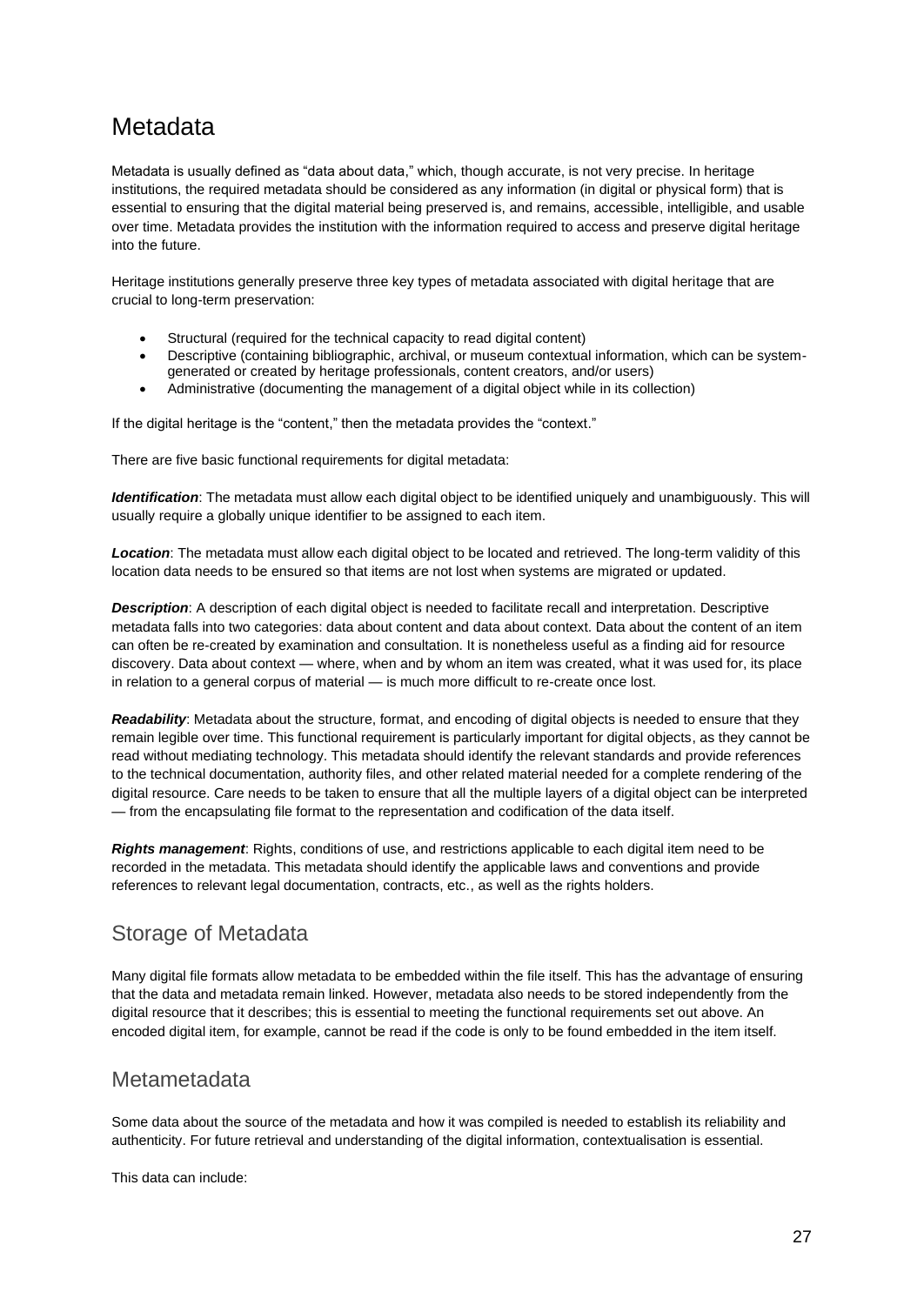## Metadata

Metadata is usually defined as "data about data," which, though accurate, is not very precise. In heritage institutions, the required metadata should be considered as any information (in digital or physical form) that is essential to ensuring that the digital material being preserved is, and remains, accessible, intelligible, and usable over time. Metadata provides the institution with the information required to access and preserve digital heritage into the future.

Heritage institutions generally preserve three key types of metadata associated with digital heritage that are crucial to long-term preservation:

- Structural (required for the technical capacity to read digital content)
- Descriptive (containing bibliographic, archival, or museum contextual information, which can be systemgenerated or created by heritage professionals, content creators, and/or users)
- Administrative (documenting the management of a digital object while in its collection)

If the digital heritage is the "content," then the metadata provides the "context."

There are five basic functional requirements for digital metadata:

*Identification*: The metadata must allow each digital object to be identified uniquely and unambiguously. This will usually require a globally unique identifier to be assigned to each item.

*Location*: The metadata must allow each digital object to be located and retrieved. The long-term validity of this location data needs to be ensured so that items are not lost when systems are migrated or updated.

*Description*: A description of each digital object is needed to facilitate recall and interpretation. Descriptive metadata falls into two categories: data about content and data about context. Data about the content of an item can often be re-created by examination and consultation. It is nonetheless useful as a finding aid for resource discovery. Data about context — where, when and by whom an item was created, what it was used for, its place in relation to a general corpus of material — is much more difficult to re-create once lost.

*Readability*: Metadata about the structure, format, and encoding of digital objects is needed to ensure that they remain legible over time. This functional requirement is particularly important for digital objects, as they cannot be read without mediating technology. This metadata should identify the relevant standards and provide references to the technical documentation, authority files, and other related material needed for a complete rendering of the digital resource. Care needs to be taken to ensure that all the multiple layers of a digital object can be interpreted — from the encapsulating file format to the representation and codification of the data itself.

*Rights management*: Rights, conditions of use, and restrictions applicable to each digital item need to be recorded in the metadata. This metadata should identify the applicable laws and conventions and provide references to relevant legal documentation, contracts, etc., as well as the rights holders.

### Storage of Metadata

Many digital file formats allow metadata to be embedded within the file itself. This has the advantage of ensuring that the data and metadata remain linked. However, metadata also needs to be stored independently from the digital resource that it describes; this is essential to meeting the functional requirements set out above. An encoded digital item, for example, cannot be read if the code is only to be found embedded in the item itself.

### Metametadata

Some data about the source of the metadata and how it was compiled is needed to establish its reliability and authenticity. For future retrieval and understanding of the digital information, contextualisation is essential.

This data can include: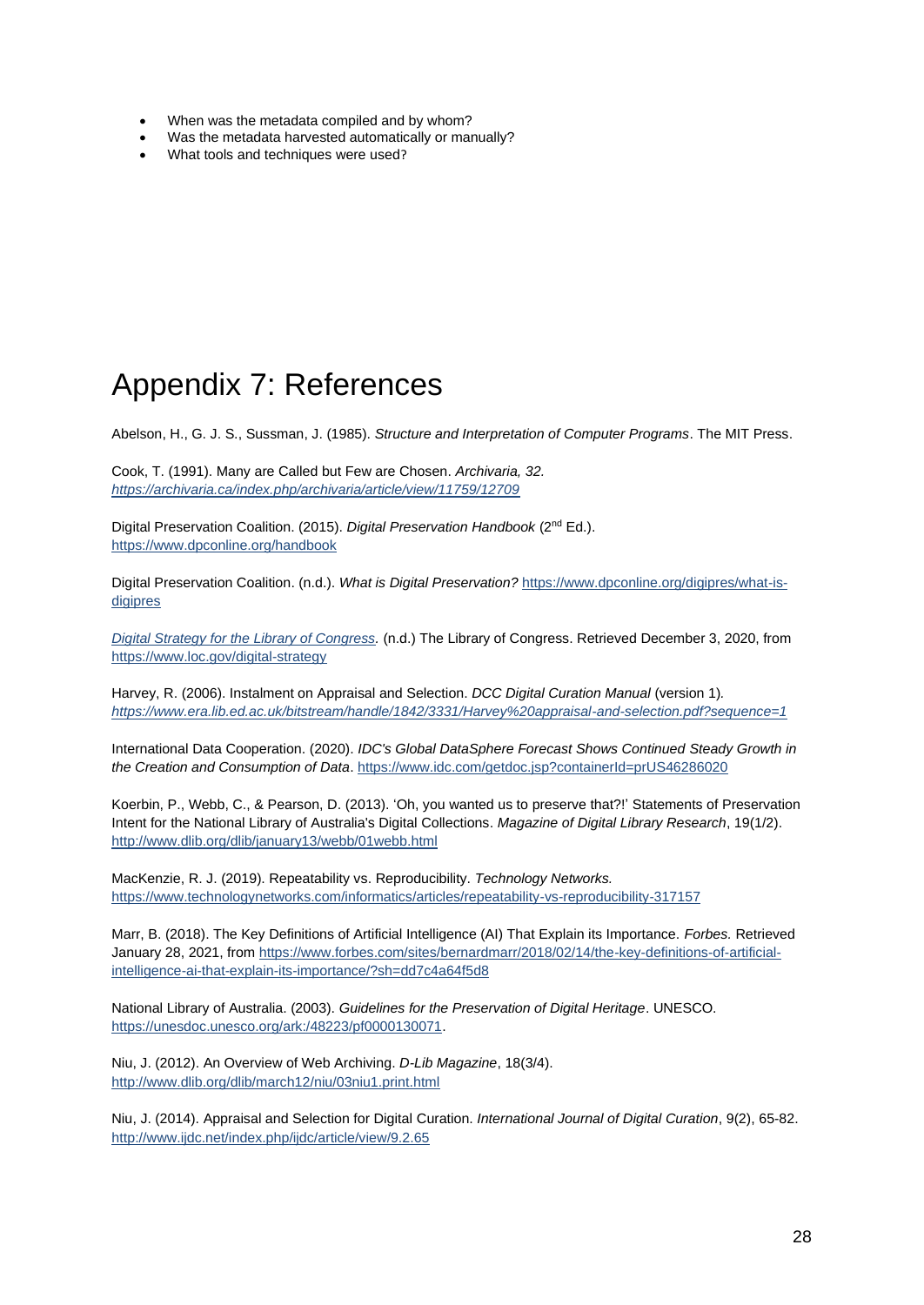- When was the metadata compiled and by whom?
- Was the metadata harvested automatically or manually?
- What tools and techniques were used?

## <span id="page-28-0"></span>Appendix 7: References

Abelson, H., G. J. S., Sussman, J. (1985). *Structure and Interpretation of Computer Programs*. The MIT Press.

Cook, T. (1991). Many are Called but Few are Chosen. *Archivaria, 32. <https://archivaria.ca/index.php/archivaria/article/view/11759/12709>*

Digital Preservation Coalition. (2015). Digital Preservation Handbook (2<sup>nd</sup> Ed.). <https://www.dpconline.org/handbook>

Digital Preservation Coalition. (n.d.). *What is Digital Preservation?* [https://www.dpconline.org/digipres/what-is](https://www.dpconline.org/digipres/what-is-digipres)[digipres](https://www.dpconline.org/digipres/what-is-digipres)

*[Digital Strategy for the Library of Congress.](https://www.loc.gov/digital-strategy)* (n.d.) The Library of Congress. Retrieved December 3, 2020, from <https://www.loc.gov/digital-strategy>

Harvey, R. (2006). [Instalment on Appraisal and Selection.](https://www.era.lib.ed.ac.uk/bitstream/handle/1842/3331/Harvey%20appraisal-and-selection.pdf?sequence=1) *DCC Digital Curation Manual* (version 1)*. <https://www.era.lib.ed.ac.uk/bitstream/handle/1842/3331/Harvey%20appraisal-and-selection.pdf?sequence=1>*

International Data Cooperation. (2020). *IDC's Global DataSphere Forecast Shows Continued Steady Growth in the Creation and Consumption of Data*[. https://www.idc.com/getdoc.jsp?containerId=prUS46286020](https://www.idc.com/getdoc.jsp?containerId=prUS46286020)

Koerbin, P., Webb, C., & Pearson, D. (2013). 'Oh, you wanted us to preserve that?!' Statements of Preservation Intent for the National Library of Australia's Digital Collections. *Magazine of Digital Library Research*, 19(1/2). <http://www.dlib.org/dlib/january13/webb/01webb.html>

MacKenzie, R. J. (2019). Repeatability vs. Reproducibility. *Technology Networks.*  <https://www.technologynetworks.com/informatics/articles/repeatability-vs-reproducibility-317157>

Marr, B. (2018). The Key Definitions of Artificial Intelligence (AI) That Explain its Importance. *Forbes.* Retrieved January 28, 2021, from [https://www.forbes.com/sites/bernardmarr/2018/02/14/the-key-definitions-of-artificial](https://www.forbes.com/sites/bernardmarr/2018/02/14/the-key-definitions-of-artificial-intelligence-ai-that-explain-its-importance/?sh=dd7c4a64f5d8)[intelligence-ai-that-explain-its-importance/?sh=dd7c4a64f5d8](https://www.forbes.com/sites/bernardmarr/2018/02/14/the-key-definitions-of-artificial-intelligence-ai-that-explain-its-importance/?sh=dd7c4a64f5d8)

National Library of Australia. (2003). *Guidelines for the Preservation of Digital Heritage*. UNESCO. [https://unesdoc.unesco.org/ark:/48223/pf0000130071.](https://unesdoc.unesco.org/ark:/48223/pf0000130071)

Niu, J. (2012). An Overview of Web Archiving. *D-Lib Magazine*, 18(3/4). <http://www.dlib.org/dlib/march12/niu/03niu1.print.html>

Niu, J. (2014). Appraisal and Selection for Digital Curation. *International Journal of Digital Curation*, 9(2), 65-82. <http://www.ijdc.net/index.php/ijdc/article/view/9.2.65>